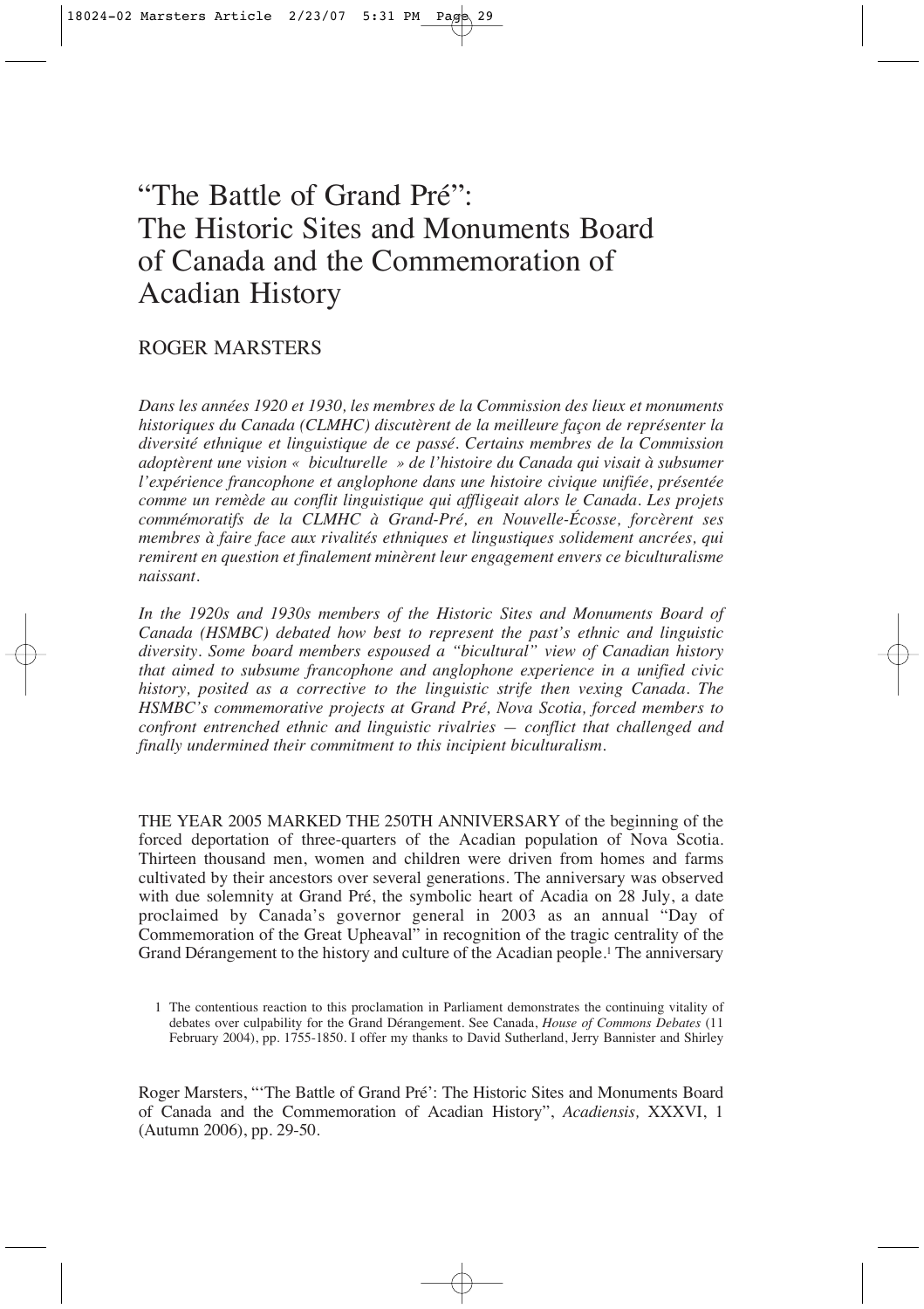# "The Battle of Grand Pré": The Historic Sites and Monuments Board of Canada and the Commemoration of Acadian History

## ROGER MARSTERS

*Dans les années 1920 et 1930, les membres de la Commission des lieux et monuments historiques du Canada (CLMHC) discutèrent de la meilleure façon de représenter la diversité ethnique et linguistique de ce passé. Certains membres de la Commission adoptèrent une vision « biculturelle » de l'histoire du Canada qui visait à subsumer l'expérience francophone et anglophone dans une histoire civique unifiée, présentée comme un remède au conflit linguistique qui affligeait alors le Canada. Les projets commémoratifs de la CLMHC à Grand-Pré, en Nouvelle-Écosse, forcèrent ses membres à faire face aux rivalités ethniques et lingustiques solidement ancrées, qui remirent en question et finalement minèrent leur engagement envers ce biculturalisme naissant.*

*In the 1920s and 1930s members of the Historic Sites and Monuments Board of Canada (HSMBC) debated how best to represent the past's ethnic and linguistic diversity. Some board members espoused a "bicultural" view of Canadian history that aimed to subsume francophone and anglophone experience in a unified civic history, posited as a corrective to the linguistic strife then vexing Canada. The HSMBC's commemorative projects at Grand Pré, Nova Scotia, forced members to confront entrenched ethnic and linguistic rivalries — conflict that challenged and finally undermined their commitment to this incipient biculturalism.*

THE YEAR 2005 MARKED THE 250TH ANNIVERSARY of the beginning of the forced deportation of three-quarters of the Acadian population of Nova Scotia. Thirteen thousand men, women and children were driven from homes and farms cultivated by their ancestors over several generations. The anniversary was observed with due solemnity at Grand Pré, the symbolic heart of Acadia on 28 July, a date proclaimed by Canada's governor general in 2003 as an annual "Day of Commemoration of the Great Upheaval" in recognition of the tragic centrality of the Grand Dérangement to the history and culture of the Acadian people.1 The anniversary

Roger Marsters, "'The Battle of Grand Pré': The Historic Sites and Monuments Board of Canada and the Commemoration of Acadian History", *Acadiensis,* XXXVI, 1 (Autumn 2006), pp. 29-50.

<sup>1</sup> The contentious reaction to this proclamation in Parliament demonstrates the continuing vitality of debates over culpability for the Grand Dérangement. See Canada, *House of Commons Debates* (11 February 2004), pp. 1755-1850. I offer my thanks to David Sutherland, Jerry Bannister and Shirley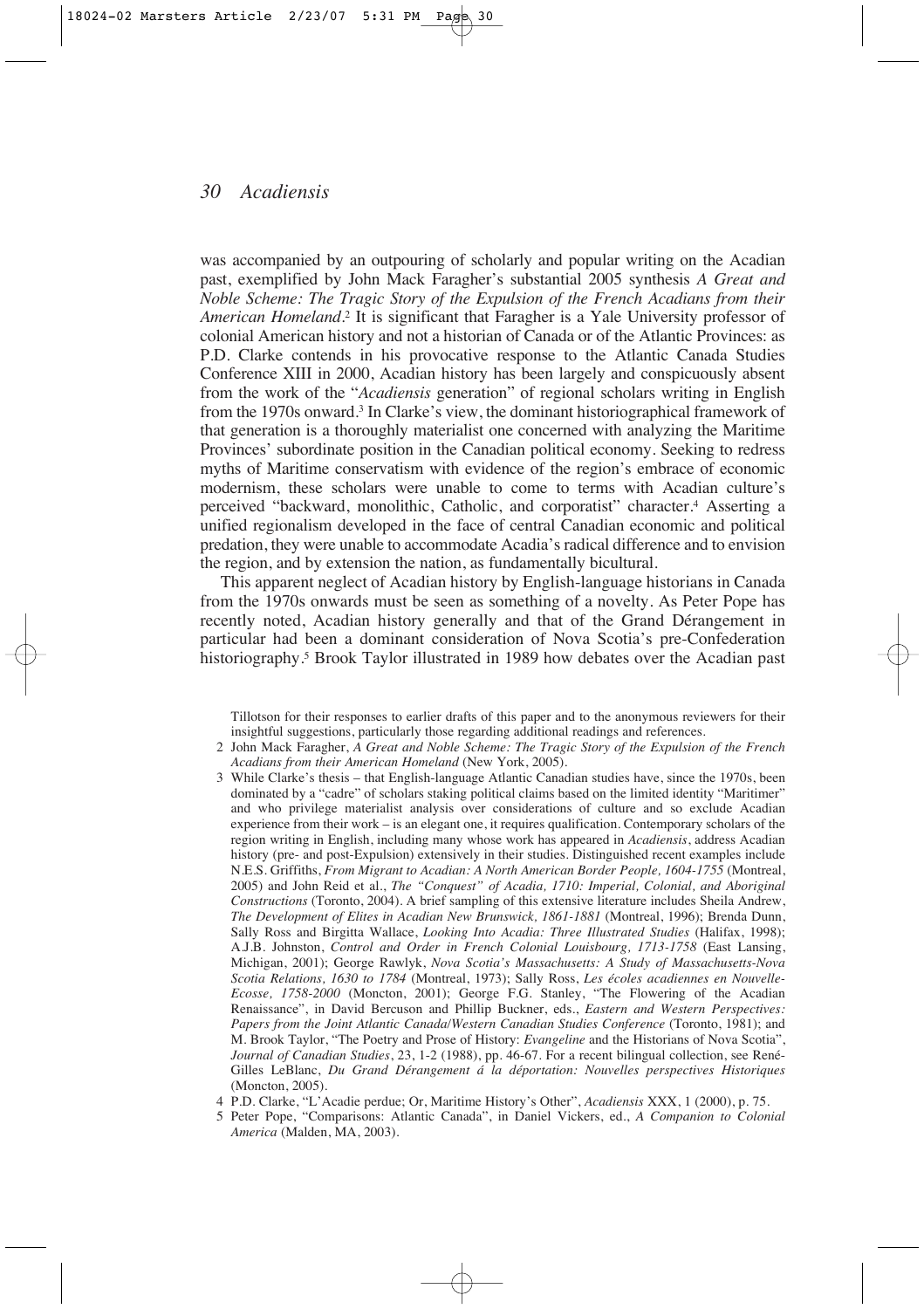was accompanied by an outpouring of scholarly and popular writing on the Acadian past, exemplified by John Mack Faragher's substantial 2005 synthesis *A Great and Noble Scheme: The Tragic Story of the Expulsion of the French Acadians from their American Homeland*. <sup>2</sup> It is significant that Faragher is a Yale University professor of colonial American history and not a historian of Canada or of the Atlantic Provinces: as P.D. Clarke contends in his provocative response to the Atlantic Canada Studies Conference XIII in 2000, Acadian history has been largely and conspicuously absent from the work of the "*Acadiensis* generation" of regional scholars writing in English from the 1970s onward.3 In Clarke's view, the dominant historiographical framework of that generation is a thoroughly materialist one concerned with analyzing the Maritime Provinces' subordinate position in the Canadian political economy. Seeking to redress myths of Maritime conservatism with evidence of the region's embrace of economic modernism, these scholars were unable to come to terms with Acadian culture's perceived "backward, monolithic, Catholic, and corporatist" character.4 Asserting a unified regionalism developed in the face of central Canadian economic and political predation, they were unable to accommodate Acadia's radical difference and to envision the region, and by extension the nation, as fundamentally bicultural.

This apparent neglect of Acadian history by English-language historians in Canada from the 1970s onwards must be seen as something of a novelty. As Peter Pope has recently noted, Acadian history generally and that of the Grand Dérangement in particular had been a dominant consideration of Nova Scotia's pre-Confederation historiography.<sup>5</sup> Brook Taylor illustrated in 1989 how debates over the Acadian past

Tillotson for their responses to earlier drafts of this paper and to the anonymous reviewers for their insightful suggestions, particularly those regarding additional readings and references.

- 2 John Mack Faragher, *A Great and Noble Scheme: The Tragic Story of the Expulsion of the French Acadians from their American Homeland* (New York, 2005).
- 3 While Clarke's thesis that English-language Atlantic Canadian studies have, since the 1970s, been dominated by a "cadre" of scholars staking political claims based on the limited identity "Maritimer" and who privilege materialist analysis over considerations of culture and so exclude Acadian experience from their work – is an elegant one, it requires qualification. Contemporary scholars of the region writing in English, including many whose work has appeared in *Acadiensis*, address Acadian history (pre- and post-Expulsion) extensively in their studies. Distinguished recent examples include N.E.S. Griffiths, *From Migrant to Acadian: A North American Border People, 1604-1755* (Montreal, 2005) and John Reid et al., *The "Conquest" of Acadia, 1710: Imperial, Colonial, and Aboriginal Constructions* (Toronto, 2004). A brief sampling of this extensive literature includes Sheila Andrew, *The Development of Elites in Acadian New Brunswick, 1861-1881* (Montreal, 1996); Brenda Dunn, Sally Ross and Birgitta Wallace, *Looking Into Acadia: Three Illustrated Studies* (Halifax, 1998); A.J.B. Johnston, *Control and Order in French Colonial Louisbourg, 1713-1758* (East Lansing, Michigan, 2001); George Rawlyk, *Nova Scotia's Massachusetts: A Study of Massachusetts-Nova Scotia Relations, 1630 to 1784* (Montreal, 1973); Sally Ross, *Les écoles acadiennes en Nouvelle-Ecosse, 1758-2000* (Moncton, 2001); George F.G. Stanley, "The Flowering of the Acadian Renaissance", in David Bercuson and Phillip Buckner, eds., *Eastern and Western Perspectives: Papers from the Joint Atlantic Canada/Western Canadian Studies Conference* (Toronto, 1981); and M. Brook Taylor, "The Poetry and Prose of History: *Evangeline* and the Historians of Nova Scotia", *Journal of Canadian Studies*, 23, 1-2 (1988), pp. 46-67. For a recent bilingual collection, see René-Gilles LeBlanc, *Du Grand Dérangement á la déportation: Nouvelles perspectives Historiques* (Moncton, 2005).
- 4 P.D. Clarke, "L'Acadie perdue; Or, Maritime History's Other", *Acadiensis* XXX, 1 (2000), p. 75.
- 5 Peter Pope, "Comparisons: Atlantic Canada", in Daniel Vickers, ed., *A Companion to Colonial America* (Malden, MA, 2003).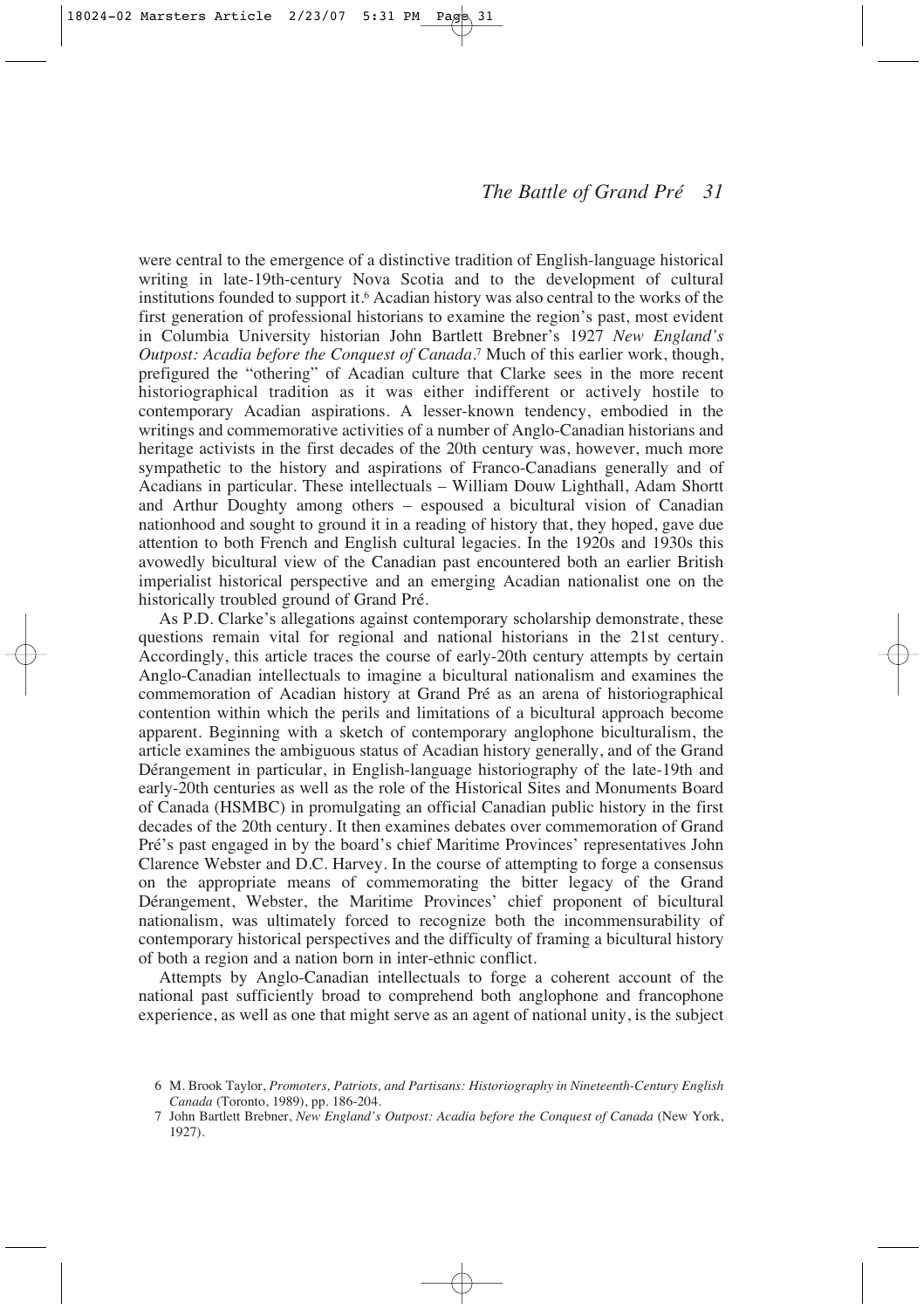were central to the emergence of a distinctive tradition of English-language historical writing in late-19th-century Nova Scotia and to the development of cultural institutions founded to support it.6 Acadian history was also central to the works of the first generation of professional historians to examine the region's past, most evident in Columbia University historian John Bartlett Brebner's 1927 *New England's Outpost: Acadia before the Conquest of Canada*. <sup>7</sup> Much of this earlier work, though, prefigured the "othering" of Acadian culture that Clarke sees in the more recent historiographical tradition as it was either indifferent or actively hostile to contemporary Acadian aspirations. A lesser-known tendency, embodied in the writings and commemorative activities of a number of Anglo-Canadian historians and heritage activists in the first decades of the 20th century was, however, much more sympathetic to the history and aspirations of Franco-Canadians generally and of Acadians in particular. These intellectuals – William Douw Lighthall, Adam Shortt and Arthur Doughty among others – espoused a bicultural vision of Canadian nationhood and sought to ground it in a reading of history that, they hoped, gave due attention to both French and English cultural legacies. In the 1920s and 1930s this avowedly bicultural view of the Canadian past encountered both an earlier British imperialist historical perspective and an emerging Acadian nationalist one on the historically troubled ground of Grand Pré.

As P.D. Clarke's allegations against contemporary scholarship demonstrate, these questions remain vital for regional and national historians in the 21st century. Accordingly, this article traces the course of early-20th century attempts by certain Anglo-Canadian intellectuals to imagine a bicultural nationalism and examines the commemoration of Acadian history at Grand Pré as an arena of historiographical contention within which the perils and limitations of a bicultural approach become apparent. Beginning with a sketch of contemporary anglophone biculturalism, the article examines the ambiguous status of Acadian history generally, and of the Grand Dérangement in particular, in English-language historiography of the late-19th and early-20th centuries as well as the role of the Historical Sites and Monuments Board of Canada (HSMBC) in promulgating an official Canadian public history in the first decades of the 20th century. It then examines debates over commemoration of Grand Pré's past engaged in by the board's chief Maritime Provinces' representatives John Clarence Webster and D.C. Harvey. In the course of attempting to forge a consensus on the appropriate means of commemorating the bitter legacy of the Grand Dérangement, Webster, the Maritime Provinces' chief proponent of bicultural nationalism, was ultimately forced to recognize both the incommensurability of contemporary historical perspectives and the difficulty of framing a bicultural history of both a region and a nation born in inter-ethnic conflict.

Attempts by Anglo-Canadian intellectuals to forge a coherent account of the national past sufficiently broad to comprehend both anglophone and francophone experience, as well as one that might serve as an agent of national unity, is the subject

<sup>6</sup> M. Brook Taylor, *Promoters, Patriots, and Partisans: Historiography in Nineteenth-Century English Canada* (Toronto, 1989), pp. 186-204.

<sup>7</sup> John Bartlett Brebner, *New England's Outpost: Acadia before the Conquest of Canada* (New York, 1927).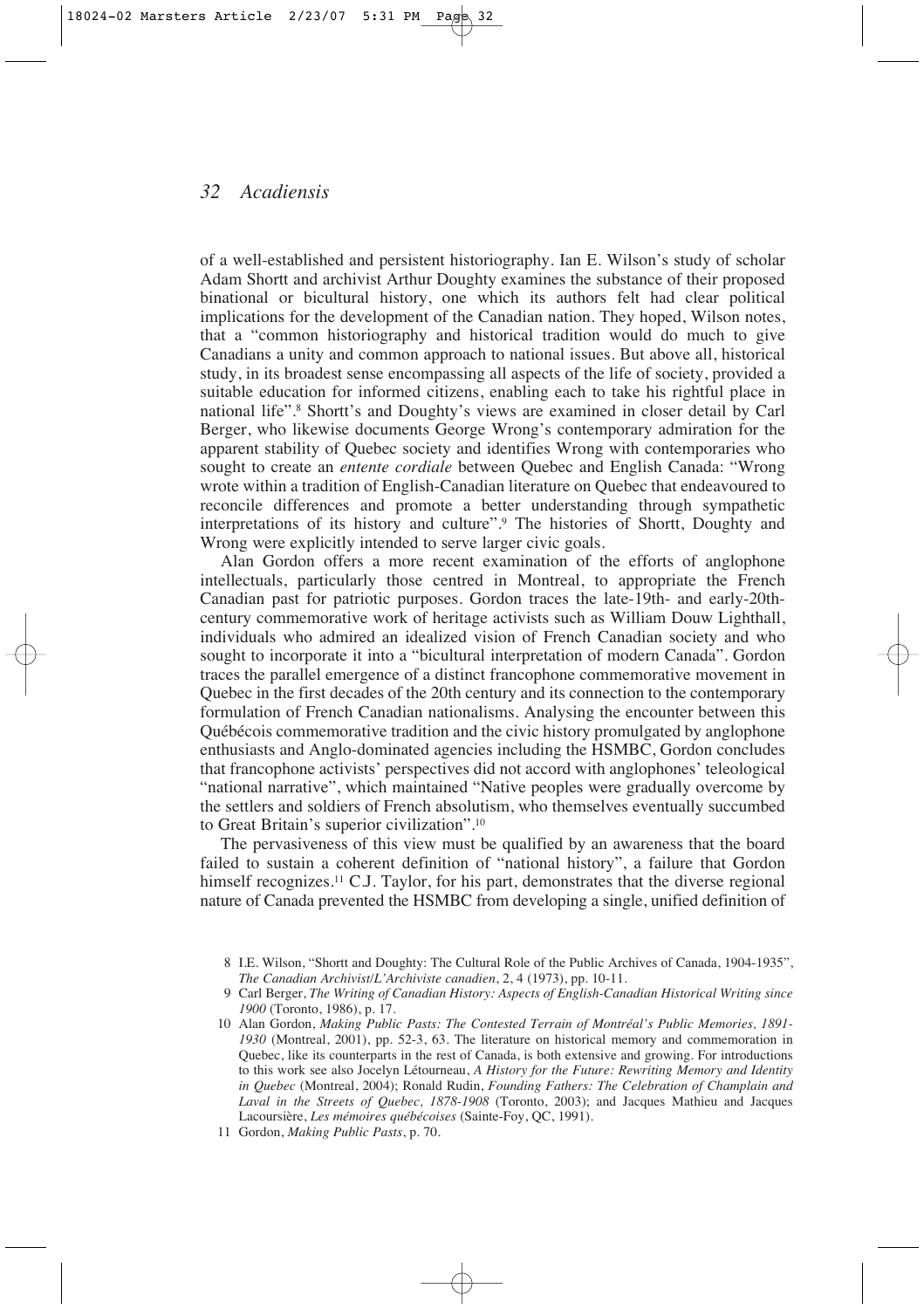of a well-established and persistent historiography. Ian E. Wilson's study of scholar Adam Shortt and archivist Arthur Doughty examines the substance of their proposed binational or bicultural history, one which its authors felt had clear political implications for the development of the Canadian nation. They hoped, Wilson notes, that a "common historiography and historical tradition would do much to give Canadians a unity and common approach to national issues. But above all, historical study, in its broadest sense encompassing all aspects of the life of society, provided a suitable education for informed citizens, enabling each to take his rightful place in national life".8 Shortt's and Doughty's views are examined in closer detail by Carl Berger, who likewise documents George Wrong's contemporary admiration for the apparent stability of Quebec society and identifies Wrong with contemporaries who sought to create an *entente cordiale* between Quebec and English Canada: "Wrong wrote within a tradition of English-Canadian literature on Quebec that endeavoured to reconcile differences and promote a better understanding through sympathetic interpretations of its history and culture".9 The histories of Shortt, Doughty and Wrong were explicitly intended to serve larger civic goals.

Alan Gordon offers a more recent examination of the efforts of anglophone intellectuals, particularly those centred in Montreal, to appropriate the French Canadian past for patriotic purposes. Gordon traces the late-19th- and early-20thcentury commemorative work of heritage activists such as William Douw Lighthall, individuals who admired an idealized vision of French Canadian society and who sought to incorporate it into a "bicultural interpretation of modern Canada". Gordon traces the parallel emergence of a distinct francophone commemorative movement in Quebec in the first decades of the 20th century and its connection to the contemporary formulation of French Canadian nationalisms. Analysing the encounter between this Québécois commemorative tradition and the civic history promulgated by anglophone enthusiasts and Anglo-dominated agencies including the HSMBC, Gordon concludes that francophone activists' perspectives did not accord with anglophones' teleological "national narrative", which maintained "Native peoples were gradually overcome by the settlers and soldiers of French absolutism, who themselves eventually succumbed to Great Britain's superior civilization".10

The pervasiveness of this view must be qualified by an awareness that the board failed to sustain a coherent definition of "national history", a failure that Gordon himself recognizes.<sup>11</sup> C.J. Taylor, for his part, demonstrates that the diverse regional nature of Canada prevented the HSMBC from developing a single, unified definition of

<sup>8</sup> I.E. Wilson, "Shortt and Doughty: The Cultural Role of the Public Archives of Canada, 1904-1935", *The Canadian Archivist/L'Archiviste canadien*, 2, 4 (1973), pp. 10-11.

<sup>9</sup> Carl Berger, *The Writing of Canadian History: Aspects of English-Canadian Historical Writing since 1900* (Toronto, 1986), p. 17.

<sup>10</sup> Alan Gordon, *Making Public Pasts: The Contested Terrain of Montréal's Public Memories, 1891- 1930* (Montreal, 2001), pp. 52-3, 63. The literature on historical memory and commemoration in Quebec, like its counterparts in the rest of Canada, is both extensive and growing. For introductions to this work see also Jocelyn Létourneau, *A History for the Future: Rewriting Memory and Identity in Quebec* (Montreal, 2004); Ronald Rudin, *Founding Fathers: The Celebration of Champlain and Laval in the Streets of Quebec, 1878-1908* (Toronto, 2003); and Jacques Mathieu and Jacques Lacoursière, *Les mémoires québécoises* (Sainte-Foy, QC, 1991).

<sup>11</sup> Gordon, *Making Public Pasts*, p. 70.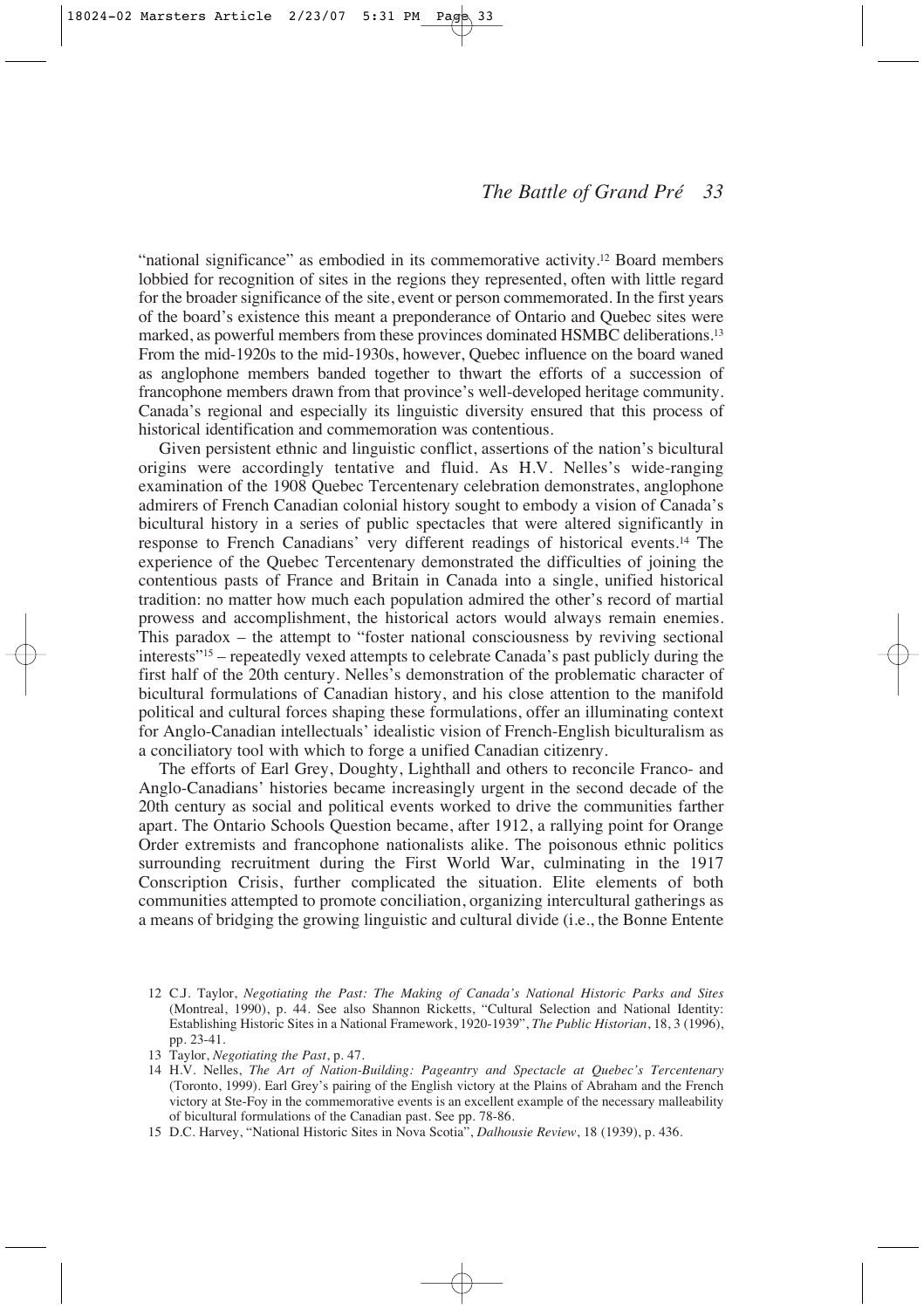"national significance" as embodied in its commemorative activity.12 Board members lobbied for recognition of sites in the regions they represented, often with little regard for the broader significance of the site, event or person commemorated. In the first years of the board's existence this meant a preponderance of Ontario and Quebec sites were marked, as powerful members from these provinces dominated HSMBC deliberations.13 From the mid-1920s to the mid-1930s, however, Quebec influence on the board waned as anglophone members banded together to thwart the efforts of a succession of francophone members drawn from that province's well-developed heritage community. Canada's regional and especially its linguistic diversity ensured that this process of historical identification and commemoration was contentious.

Given persistent ethnic and linguistic conflict, assertions of the nation's bicultural origins were accordingly tentative and fluid. As H.V. Nelles's wide-ranging examination of the 1908 Quebec Tercentenary celebration demonstrates, anglophone admirers of French Canadian colonial history sought to embody a vision of Canada's bicultural history in a series of public spectacles that were altered significantly in response to French Canadians' very different readings of historical events.14 The experience of the Quebec Tercentenary demonstrated the difficulties of joining the contentious pasts of France and Britain in Canada into a single, unified historical tradition: no matter how much each population admired the other's record of martial prowess and accomplishment, the historical actors would always remain enemies. This paradox – the attempt to "foster national consciousness by reviving sectional interests"15 – repeatedly vexed attempts to celebrate Canada's past publicly during the first half of the 20th century. Nelles's demonstration of the problematic character of bicultural formulations of Canadian history, and his close attention to the manifold political and cultural forces shaping these formulations, offer an illuminating context for Anglo-Canadian intellectuals' idealistic vision of French-English biculturalism as a conciliatory tool with which to forge a unified Canadian citizenry.

The efforts of Earl Grey, Doughty, Lighthall and others to reconcile Franco- and Anglo-Canadians' histories became increasingly urgent in the second decade of the 20th century as social and political events worked to drive the communities farther apart. The Ontario Schools Question became, after 1912, a rallying point for Orange Order extremists and francophone nationalists alike. The poisonous ethnic politics surrounding recruitment during the First World War, culminating in the 1917 Conscription Crisis, further complicated the situation. Elite elements of both communities attempted to promote conciliation, organizing intercultural gatherings as a means of bridging the growing linguistic and cultural divide (i.e., the Bonne Entente

15 D.C. Harvey, "National Historic Sites in Nova Scotia", *Dalhousie Review*, 18 (1939), p. 436.

<sup>12</sup> C.J. Taylor, *Negotiating the Past: The Making of Canada's National Historic Parks and Sites* (Montreal, 1990), p. 44. See also Shannon Ricketts, "Cultural Selection and National Identity: Establishing Historic Sites in a National Framework, 1920-1939", *The Public Historian*, 18, 3 (1996), pp. 23-41.

<sup>13</sup> Taylor, *Negotiating the Past*, p. 47.

<sup>14</sup> H.V. Nelles, *The Art of Nation-Building: Pageantry and Spectacle at Quebec's Tercentenary* (Toronto, 1999). Earl Grey's pairing of the English victory at the Plains of Abraham and the French victory at Ste-Foy in the commemorative events is an excellent example of the necessary malleability of bicultural formulations of the Canadian past. See pp. 78-86.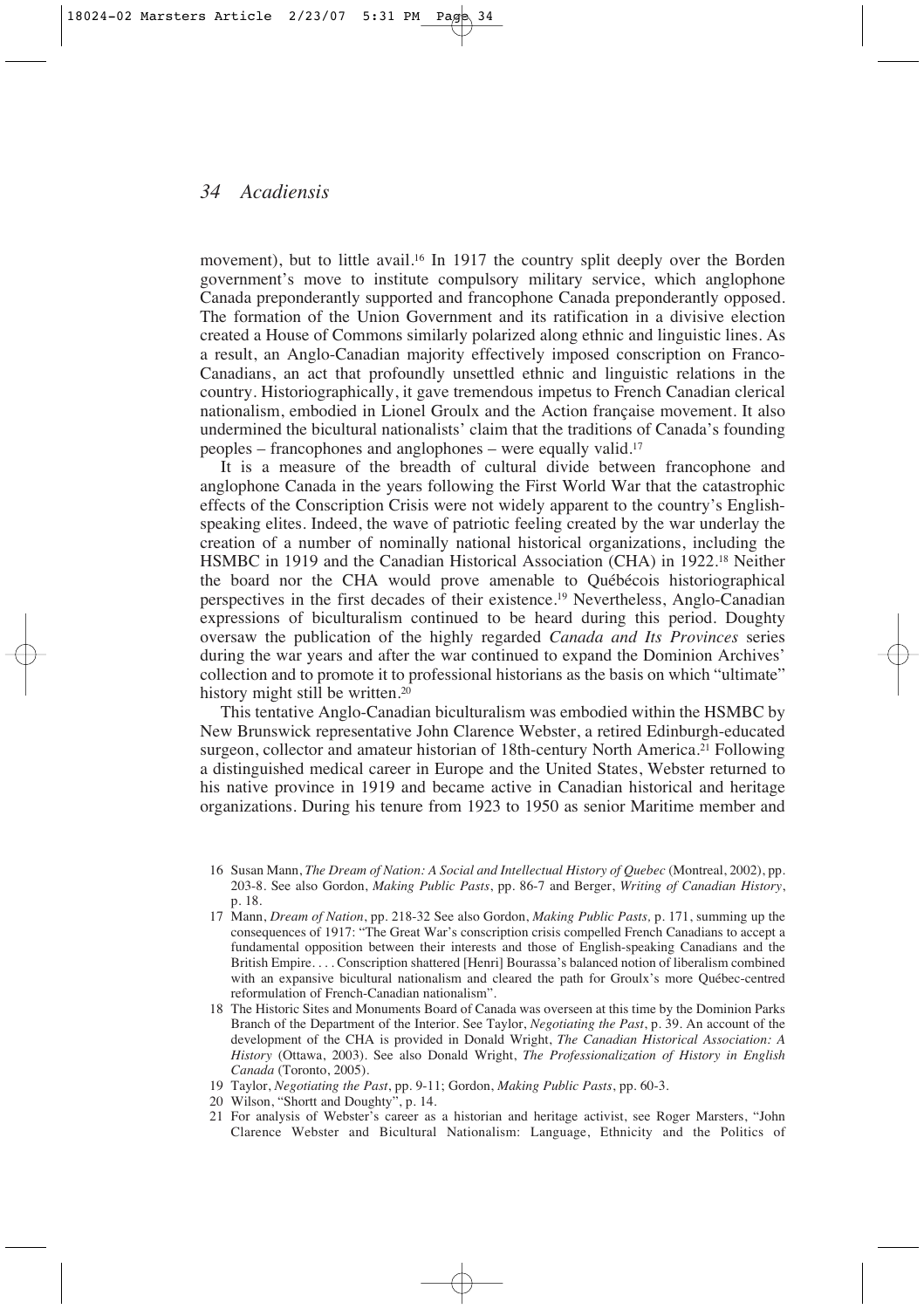movement), but to little avail.16 In 1917 the country split deeply over the Borden government's move to institute compulsory military service, which anglophone Canada preponderantly supported and francophone Canada preponderantly opposed. The formation of the Union Government and its ratification in a divisive election created a House of Commons similarly polarized along ethnic and linguistic lines. As a result, an Anglo-Canadian majority effectively imposed conscription on Franco-Canadians, an act that profoundly unsettled ethnic and linguistic relations in the country. Historiographically, it gave tremendous impetus to French Canadian clerical nationalism, embodied in Lionel Groulx and the Action française movement. It also undermined the bicultural nationalists' claim that the traditions of Canada's founding peoples – francophones and anglophones – were equally valid.17

It is a measure of the breadth of cultural divide between francophone and anglophone Canada in the years following the First World War that the catastrophic effects of the Conscription Crisis were not widely apparent to the country's Englishspeaking elites. Indeed, the wave of patriotic feeling created by the war underlay the creation of a number of nominally national historical organizations, including the HSMBC in 1919 and the Canadian Historical Association (CHA) in 1922.18 Neither the board nor the CHA would prove amenable to Québécois historiographical perspectives in the first decades of their existence.19 Nevertheless, Anglo-Canadian expressions of biculturalism continued to be heard during this period. Doughty oversaw the publication of the highly regarded *Canada and Its Provinces* series during the war years and after the war continued to expand the Dominion Archives' collection and to promote it to professional historians as the basis on which "ultimate" history might still be written.<sup>20</sup>

This tentative Anglo-Canadian biculturalism was embodied within the HSMBC by New Brunswick representative John Clarence Webster, a retired Edinburgh-educated surgeon, collector and amateur historian of 18th-century North America.<sup>21</sup> Following a distinguished medical career in Europe and the United States, Webster returned to his native province in 1919 and became active in Canadian historical and heritage organizations. During his tenure from 1923 to 1950 as senior Maritime member and

- 18 The Historic Sites and Monuments Board of Canada was overseen at this time by the Dominion Parks Branch of the Department of the Interior. See Taylor, *Negotiating the Past*, p. 39. An account of the development of the CHA is provided in Donald Wright, *The Canadian Historical Association: A History* (Ottawa, 2003). See also Donald Wright, *The Professionalization of History in English Canada* (Toronto, 2005).
- 19 Taylor, *Negotiating the Past*, pp. 9-11; Gordon, *Making Public Pasts*, pp. 60-3.
- 20 Wilson, "Shortt and Doughty", p. 14.
- 21 For analysis of Webster's career as a historian and heritage activist, see Roger Marsters, "John Clarence Webster and Bicultural Nationalism: Language, Ethnicity and the Politics of

<sup>16</sup> Susan Mann, *The Dream of Nation: A Social and Intellectual History of Quebec* (Montreal, 2002), pp. 203-8. See also Gordon, *Making Public Pasts*, pp. 86-7 and Berger, *Writing of Canadian History*, p. 18.

<sup>17</sup> Mann, *Dream of Nation*, pp. 218-32 See also Gordon, *Making Public Pasts,* p. 171, summing up the consequences of 1917: "The Great War's conscription crisis compelled French Canadians to accept a fundamental opposition between their interests and those of English-speaking Canadians and the British Empire. . . . Conscription shattered [Henri] Bourassa's balanced notion of liberalism combined with an expansive bicultural nationalism and cleared the path for Groulx's more Québec-centred reformulation of French-Canadian nationalism".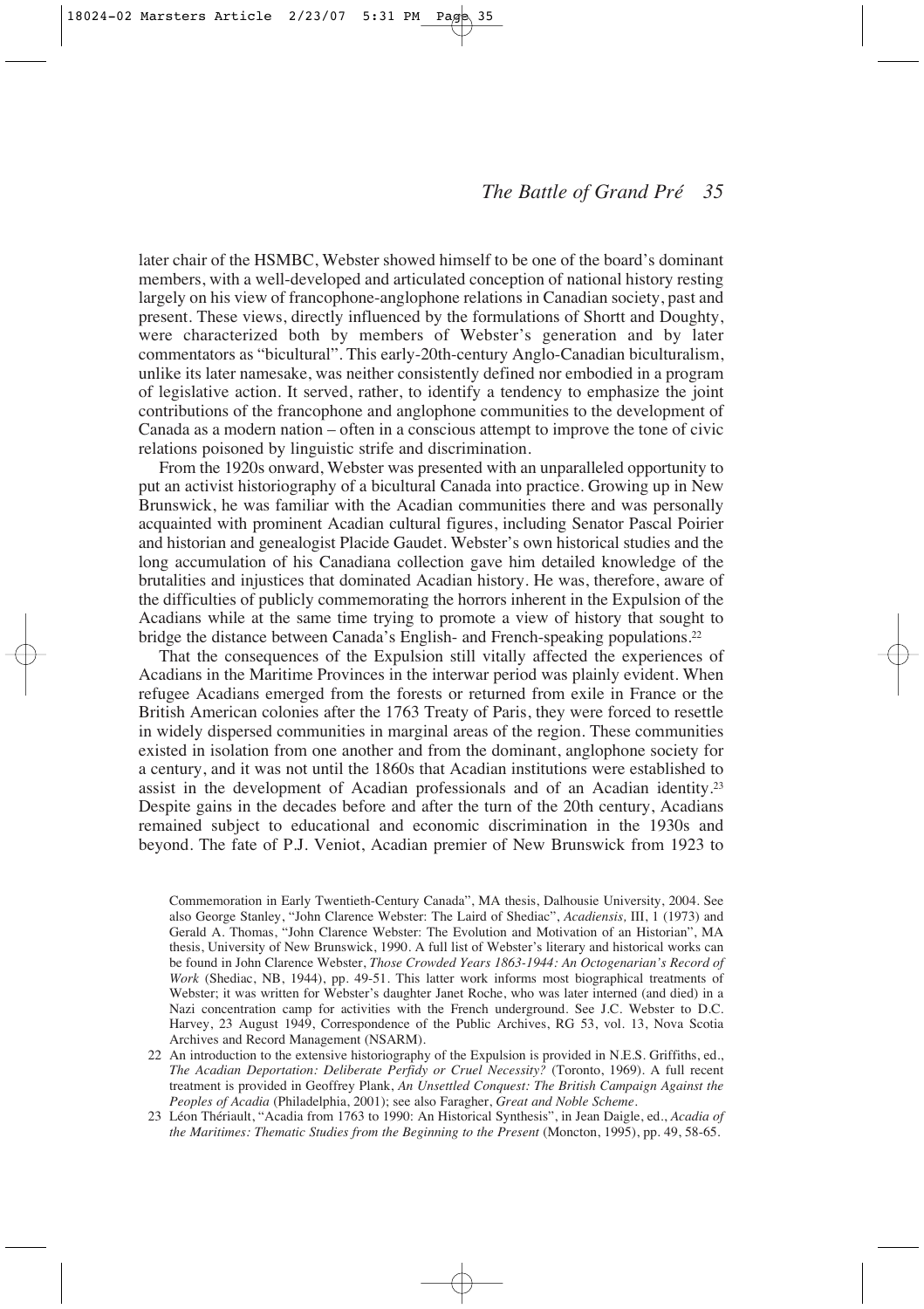later chair of the HSMBC, Webster showed himself to be one of the board's dominant members, with a well-developed and articulated conception of national history resting largely on his view of francophone-anglophone relations in Canadian society, past and present. These views, directly influenced by the formulations of Shortt and Doughty, were characterized both by members of Webster's generation and by later commentators as "bicultural". This early-20th-century Anglo-Canadian biculturalism, unlike its later namesake, was neither consistently defined nor embodied in a program of legislative action. It served, rather, to identify a tendency to emphasize the joint contributions of the francophone and anglophone communities to the development of Canada as a modern nation – often in a conscious attempt to improve the tone of civic relations poisoned by linguistic strife and discrimination.

From the 1920s onward, Webster was presented with an unparalleled opportunity to put an activist historiography of a bicultural Canada into practice. Growing up in New Brunswick, he was familiar with the Acadian communities there and was personally acquainted with prominent Acadian cultural figures, including Senator Pascal Poirier and historian and genealogist Placide Gaudet. Webster's own historical studies and the long accumulation of his Canadiana collection gave him detailed knowledge of the brutalities and injustices that dominated Acadian history. He was, therefore, aware of the difficulties of publicly commemorating the horrors inherent in the Expulsion of the Acadians while at the same time trying to promote a view of history that sought to bridge the distance between Canada's English- and French-speaking populations.<sup>22</sup>

That the consequences of the Expulsion still vitally affected the experiences of Acadians in the Maritime Provinces in the interwar period was plainly evident. When refugee Acadians emerged from the forests or returned from exile in France or the British American colonies after the 1763 Treaty of Paris, they were forced to resettle in widely dispersed communities in marginal areas of the region. These communities existed in isolation from one another and from the dominant, anglophone society for a century, and it was not until the 1860s that Acadian institutions were established to assist in the development of Acadian professionals and of an Acadian identity.23 Despite gains in the decades before and after the turn of the 20th century, Acadians remained subject to educational and economic discrimination in the 1930s and beyond. The fate of P.J. Veniot, Acadian premier of New Brunswick from 1923 to

Commemoration in Early Twentieth-Century Canada", MA thesis, Dalhousie University, 2004. See also George Stanley, "John Clarence Webster: The Laird of Shediac", *Acadiensis,* III, 1 (1973) and Gerald A. Thomas, "John Clarence Webster: The Evolution and Motivation of an Historian", MA thesis, University of New Brunswick, 1990. A full list of Webster's literary and historical works can be found in John Clarence Webster, *Those Crowded Years 1863-1944: An Octogenarian's Record of Work* (Shediac, NB, 1944), pp. 49-51. This latter work informs most biographical treatments of Webster; it was written for Webster's daughter Janet Roche, who was later interned (and died) in a Nazi concentration camp for activities with the French underground. See J.C. Webster to D.C. Harvey, 23 August 1949, Correspondence of the Public Archives, RG 53, vol. 13, Nova Scotia Archives and Record Management (NSARM).

<sup>22</sup> An introduction to the extensive historiography of the Expulsion is provided in N.E.S. Griffiths, ed., *The Acadian Deportation: Deliberate Perfidy or Cruel Necessity?* (Toronto, 1969). A full recent treatment is provided in Geoffrey Plank, *An Unsettled Conquest: The British Campaign Against the Peoples of Acadia* (Philadelphia, 2001); see also Faragher, *Great and Noble Scheme*.

<sup>23</sup> Léon Thériault, "Acadia from 1763 to 1990: An Historical Synthesis", in Jean Daigle, ed., *Acadia of the Maritimes: Thematic Studies from the Beginning to the Present* (Moncton, 1995), pp. 49, 58-65.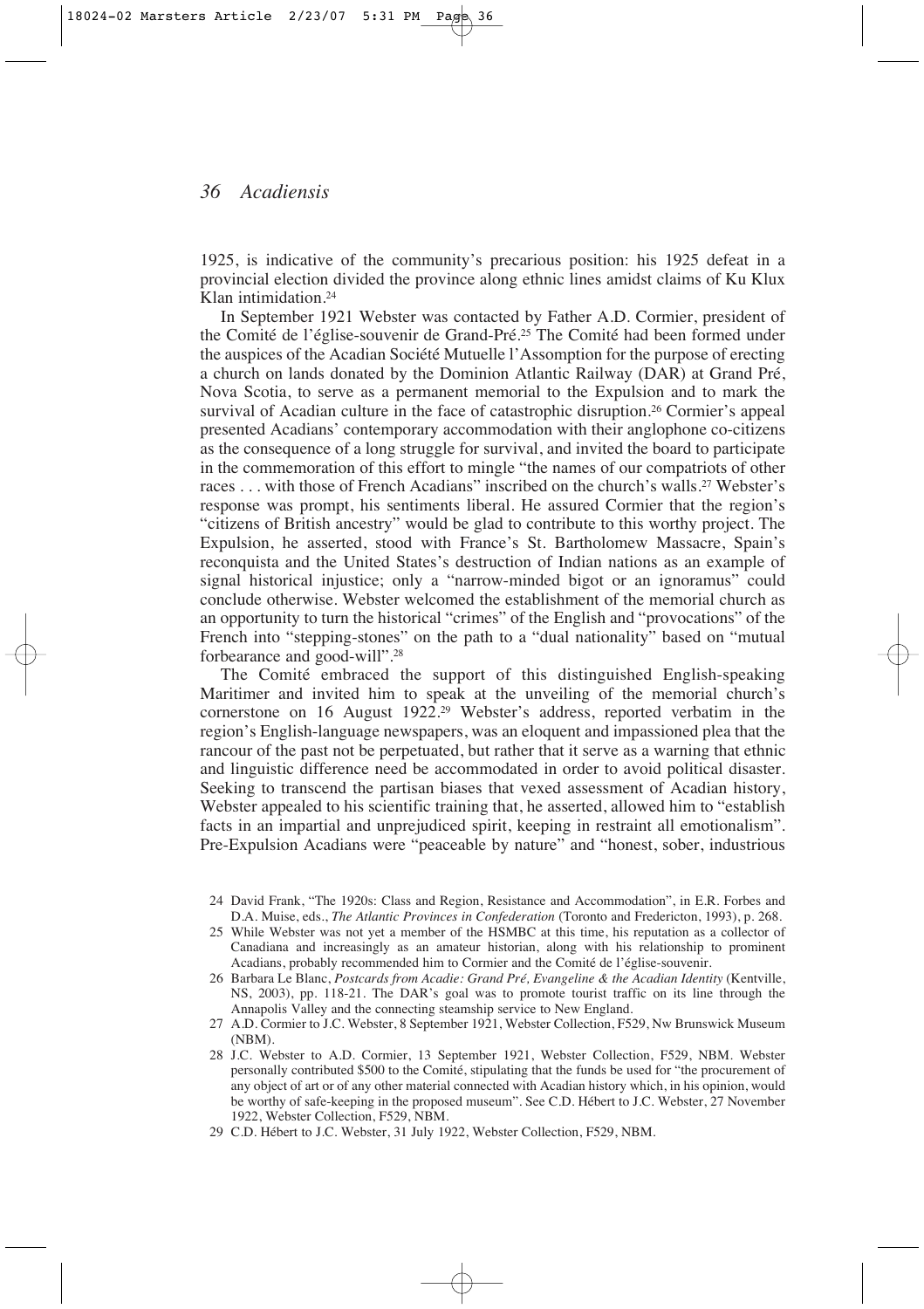1925, is indicative of the community's precarious position: his 1925 defeat in a provincial election divided the province along ethnic lines amidst claims of Ku Klux Klan intimidation.24

In September 1921 Webster was contacted by Father A.D. Cormier, president of the Comité de l'église-souvenir de Grand-Pré.25 The Comité had been formed under the auspices of the Acadian Société Mutuelle l'Assomption for the purpose of erecting a church on lands donated by the Dominion Atlantic Railway (DAR) at Grand Pré, Nova Scotia, to serve as a permanent memorial to the Expulsion and to mark the survival of Acadian culture in the face of catastrophic disruption.<sup>26</sup> Cormier's appeal presented Acadians' contemporary accommodation with their anglophone co-citizens as the consequence of a long struggle for survival, and invited the board to participate in the commemoration of this effort to mingle "the names of our compatriots of other races . . . with those of French Acadians" inscribed on the church's walls.27 Webster's response was prompt, his sentiments liberal. He assured Cormier that the region's "citizens of British ancestry" would be glad to contribute to this worthy project. The Expulsion, he asserted, stood with France's St. Bartholomew Massacre, Spain's reconquista and the United States's destruction of Indian nations as an example of signal historical injustice; only a "narrow-minded bigot or an ignoramus" could conclude otherwise. Webster welcomed the establishment of the memorial church as an opportunity to turn the historical "crimes" of the English and "provocations" of the French into "stepping-stones" on the path to a "dual nationality" based on "mutual forbearance and good-will".28

The Comité embraced the support of this distinguished English-speaking Maritimer and invited him to speak at the unveiling of the memorial church's cornerstone on 16 August 1922.29 Webster's address, reported verbatim in the region's English-language newspapers, was an eloquent and impassioned plea that the rancour of the past not be perpetuated, but rather that it serve as a warning that ethnic and linguistic difference need be accommodated in order to avoid political disaster. Seeking to transcend the partisan biases that vexed assessment of Acadian history, Webster appealed to his scientific training that, he asserted, allowed him to "establish facts in an impartial and unprejudiced spirit, keeping in restraint all emotionalism". Pre-Expulsion Acadians were "peaceable by nature" and "honest, sober, industrious

- 25 While Webster was not yet a member of the HSMBC at this time, his reputation as a collector of Canadiana and increasingly as an amateur historian, along with his relationship to prominent Acadians, probably recommended him to Cormier and the Comité de l'église-souvenir.
- 26 Barbara Le Blanc, *Postcards from Acadie: Grand Pré, Evangeline & the Acadian Identity* (Kentville, NS, 2003), pp. 118-21. The DAR's goal was to promote tourist traffic on its line through the Annapolis Valley and the connecting steamship service to New England.
- 27 A.D. Cormier to J.C. Webster, 8 September 1921, Webster Collection, F529, Nw Brunswick Museum (NBM).
- 28 J.C. Webster to A.D. Cormier, 13 September 1921, Webster Collection, F529, NBM. Webster personally contributed \$500 to the Comité, stipulating that the funds be used for "the procurement of any object of art or of any other material connected with Acadian history which, in his opinion, would be worthy of safe-keeping in the proposed museum". See C.D. Hébert to J.C. Webster, 27 November 1922, Webster Collection, F529, NBM*.*
- 29 C.D. Hébert to J.C. Webster, 31 July 1922, Webster Collection, F529, NBM.

<sup>24</sup> David Frank, "The 1920s: Class and Region, Resistance and Accommodation", in E.R. Forbes and D.A. Muise, eds., *The Atlantic Provinces in Confederation* (Toronto and Fredericton, 1993), p. 268.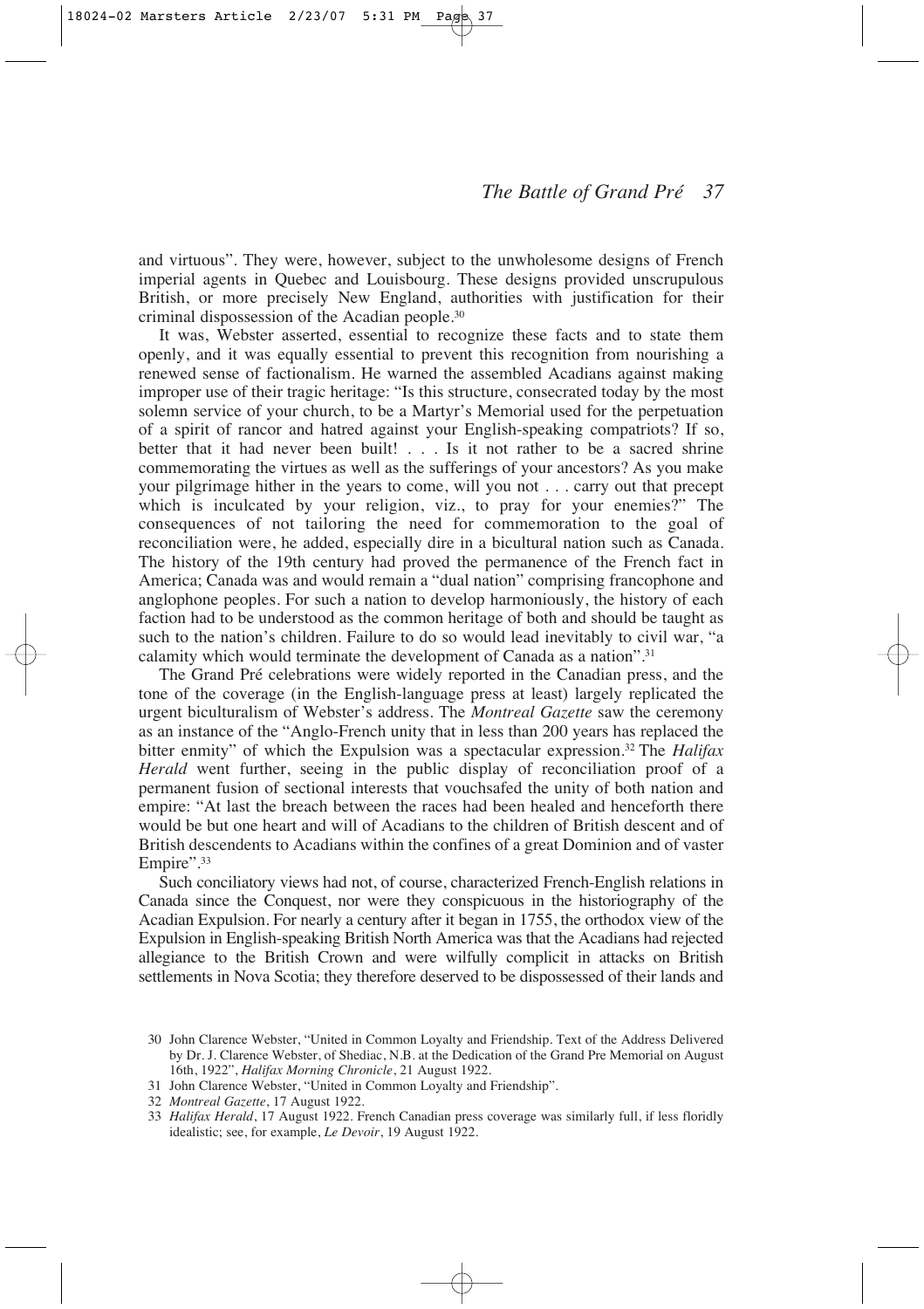and virtuous". They were, however, subject to the unwholesome designs of French imperial agents in Quebec and Louisbourg. These designs provided unscrupulous British, or more precisely New England, authorities with justification for their criminal dispossession of the Acadian people.30

It was, Webster asserted, essential to recognize these facts and to state them openly, and it was equally essential to prevent this recognition from nourishing a renewed sense of factionalism. He warned the assembled Acadians against making improper use of their tragic heritage: "Is this structure, consecrated today by the most solemn service of your church, to be a Martyr's Memorial used for the perpetuation of a spirit of rancor and hatred against your English-speaking compatriots? If so, better that it had never been built! . . . Is it not rather to be a sacred shrine commemorating the virtues as well as the sufferings of your ancestors? As you make your pilgrimage hither in the years to come, will you not . . . carry out that precept which is inculcated by your religion, viz., to pray for your enemies?" The consequences of not tailoring the need for commemoration to the goal of reconciliation were, he added, especially dire in a bicultural nation such as Canada. The history of the 19th century had proved the permanence of the French fact in America; Canada was and would remain a "dual nation" comprising francophone and anglophone peoples. For such a nation to develop harmoniously, the history of each faction had to be understood as the common heritage of both and should be taught as such to the nation's children. Failure to do so would lead inevitably to civil war, "a calamity which would terminate the development of Canada as a nation".31

The Grand Pré celebrations were widely reported in the Canadian press, and the tone of the coverage (in the English-language press at least) largely replicated the urgent biculturalism of Webster's address. The *Montreal Gazette* saw the ceremony as an instance of the "Anglo-French unity that in less than 200 years has replaced the bitter enmity" of which the Expulsion was a spectacular expression.32 The *Halifax Herald* went further, seeing in the public display of reconciliation proof of a permanent fusion of sectional interests that vouchsafed the unity of both nation and empire: "At last the breach between the races had been healed and henceforth there would be but one heart and will of Acadians to the children of British descent and of British descendents to Acadians within the confines of a great Dominion and of vaster Empire".<sup>33</sup>

Such conciliatory views had not, of course, characterized French-English relations in Canada since the Conquest, nor were they conspicuous in the historiography of the Acadian Expulsion. For nearly a century after it began in 1755, the orthodox view of the Expulsion in English-speaking British North America was that the Acadians had rejected allegiance to the British Crown and were wilfully complicit in attacks on British settlements in Nova Scotia; they therefore deserved to be dispossessed of their lands and

- 31 John Clarence Webster, "United in Common Loyalty and Friendship".
- 32 *Montreal Gazette*, 17 August 1922.

<sup>30</sup> John Clarence Webster, "United in Common Loyalty and Friendship. Text of the Address Delivered by Dr. J. Clarence Webster, of Shediac, N.B. at the Dedication of the Grand Pre Memorial on August 16th, 1922", *Halifax Morning Chronicle*, 21 August 1922.

<sup>33</sup> *Halifax Herald*, 17 August 1922. French Canadian press coverage was similarly full, if less floridly idealistic; see, for example, *Le Devoir*, 19 August 1922.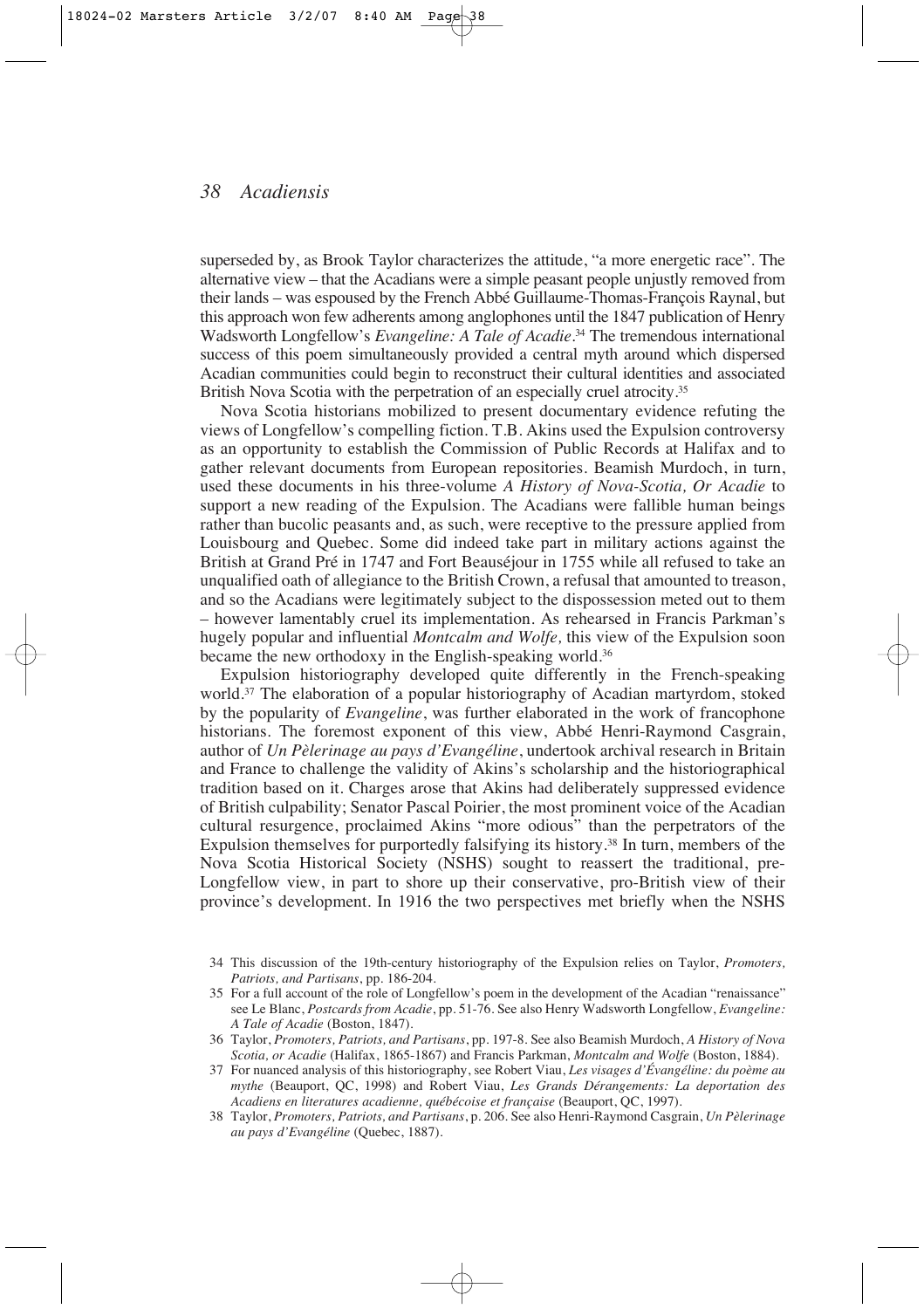superseded by, as Brook Taylor characterizes the attitude, "a more energetic race". The alternative view – that the Acadians were a simple peasant people unjustly removed from their lands – was espoused by the French Abbé Guillaume-Thomas-François Raynal, but this approach won few adherents among anglophones until the 1847 publication of Henry Wadsworth Longfellow's *Evangeline: A Tale of Acadie*. <sup>34</sup> The tremendous international success of this poem simultaneously provided a central myth around which dispersed Acadian communities could begin to reconstruct their cultural identities and associated British Nova Scotia with the perpetration of an especially cruel atrocity.<sup>35</sup>

Nova Scotia historians mobilized to present documentary evidence refuting the views of Longfellow's compelling fiction. T.B. Akins used the Expulsion controversy as an opportunity to establish the Commission of Public Records at Halifax and to gather relevant documents from European repositories. Beamish Murdoch, in turn, used these documents in his three-volume *A History of Nova-Scotia, Or Acadie* to support a new reading of the Expulsion. The Acadians were fallible human beings rather than bucolic peasants and, as such, were receptive to the pressure applied from Louisbourg and Quebec. Some did indeed take part in military actions against the British at Grand Pré in 1747 and Fort Beauséjour in 1755 while all refused to take an unqualified oath of allegiance to the British Crown, a refusal that amounted to treason, and so the Acadians were legitimately subject to the dispossession meted out to them – however lamentably cruel its implementation. As rehearsed in Francis Parkman's hugely popular and influential *Montcalm and Wolfe,* this view of the Expulsion soon became the new orthodoxy in the English-speaking world.36

Expulsion historiography developed quite differently in the French-speaking world.37 The elaboration of a popular historiography of Acadian martyrdom, stoked by the popularity of *Evangeline*, was further elaborated in the work of francophone historians. The foremost exponent of this view, Abbé Henri-Raymond Casgrain, author of *Un Pèlerinage au pays d'Evangéline*, undertook archival research in Britain and France to challenge the validity of Akins's scholarship and the historiographical tradition based on it. Charges arose that Akins had deliberately suppressed evidence of British culpability; Senator Pascal Poirier, the most prominent voice of the Acadian cultural resurgence, proclaimed Akins "more odious" than the perpetrators of the Expulsion themselves for purportedly falsifying its history.38 In turn, members of the Nova Scotia Historical Society (NSHS) sought to reassert the traditional, pre-Longfellow view, in part to shore up their conservative, pro-British view of their province's development. In 1916 the two perspectives met briefly when the NSHS

<sup>34</sup> This discussion of the 19th-century historiography of the Expulsion relies on Taylor, *Promoters, Patriots, and Partisans*, pp. 186-204.

<sup>35</sup> For a full account of the role of Longfellow's poem in the development of the Acadian "renaissance" see Le Blanc, *Postcards from Acadie*, pp. 51-76. See also Henry Wadsworth Longfellow, *Evangeline: A Tale of Acadie* (Boston, 1847).

<sup>36</sup> Taylor, *Promoters, Patriots, and Partisans*, pp. 197-8. See also Beamish Murdoch, *A History of Nova Scotia, or Acadie* (Halifax, 1865-1867) and Francis Parkman, *Montcalm and Wolfe* (Boston, 1884).

<sup>37</sup> For nuanced analysis of this historiography, see Robert Viau, *Les visages d'Évangéline: du poème au mythe* (Beauport, QC, 1998) and Robert Viau, *Les Grands Dérangements: La deportation des Acadiens en literatures acadienne, québécoise et française* (Beauport, QC, 1997).

<sup>38</sup> Taylor, *Promoters, Patriots, and Partisans*, p. 206. See also Henri-Raymond Casgrain, *Un Pèlerinage au pays d'Evangéline* (Quebec, 1887).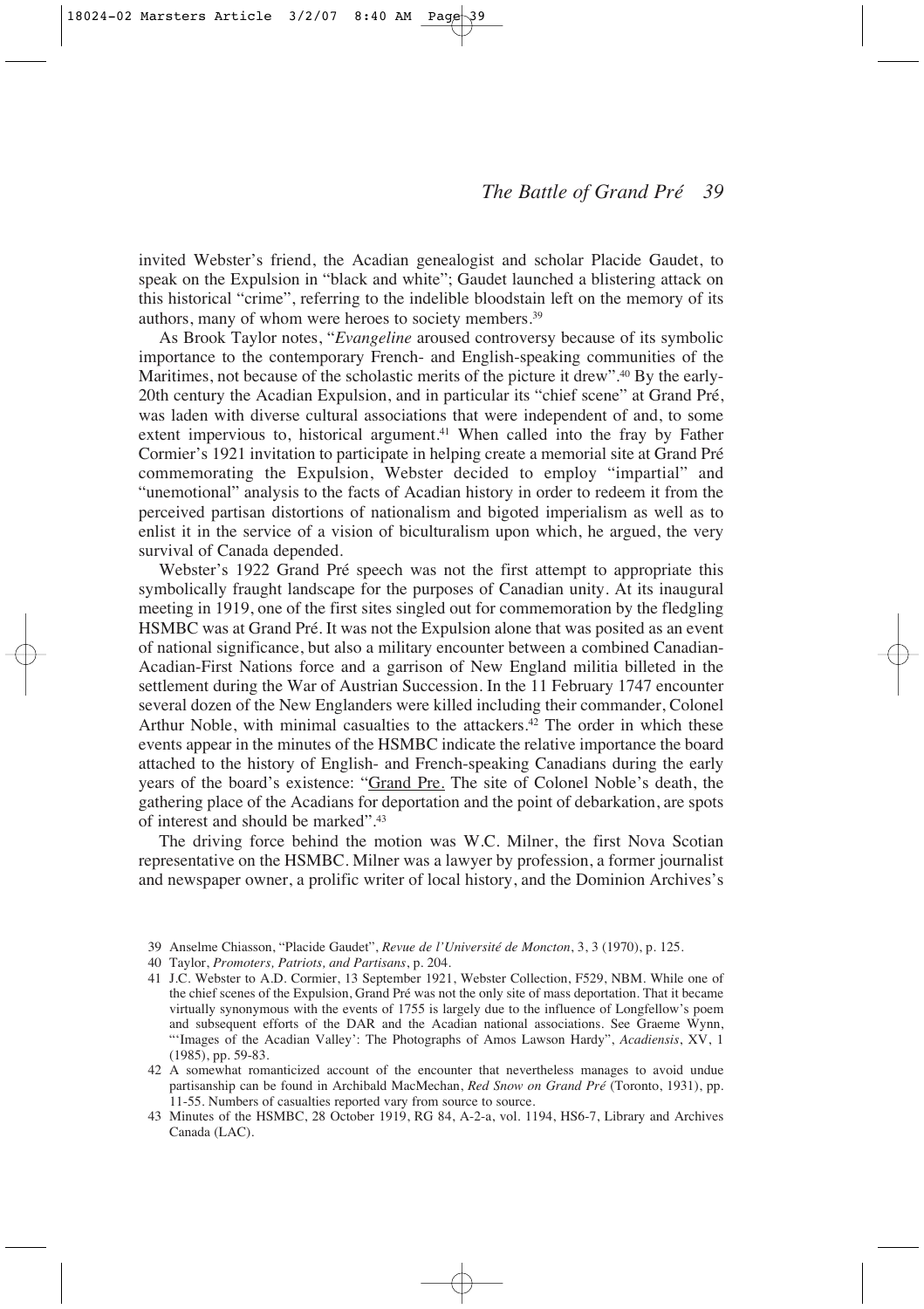invited Webster's friend, the Acadian genealogist and scholar Placide Gaudet, to speak on the Expulsion in "black and white"; Gaudet launched a blistering attack on this historical "crime", referring to the indelible bloodstain left on the memory of its authors, many of whom were heroes to society members.39

As Brook Taylor notes, "*Evangeline* aroused controversy because of its symbolic importance to the contemporary French- and English-speaking communities of the Maritimes, not because of the scholastic merits of the picture it drew".<sup>40</sup> By the early-20th century the Acadian Expulsion, and in particular its "chief scene" at Grand Pré, was laden with diverse cultural associations that were independent of and, to some extent impervious to, historical argument.<sup>41</sup> When called into the fray by Father Cormier's 1921 invitation to participate in helping create a memorial site at Grand Pré commemorating the Expulsion, Webster decided to employ "impartial" and "unemotional" analysis to the facts of Acadian history in order to redeem it from the perceived partisan distortions of nationalism and bigoted imperialism as well as to enlist it in the service of a vision of biculturalism upon which, he argued, the very survival of Canada depended.

Webster's 1922 Grand Pré speech was not the first attempt to appropriate this symbolically fraught landscape for the purposes of Canadian unity. At its inaugural meeting in 1919, one of the first sites singled out for commemoration by the fledgling HSMBC was at Grand Pré. It was not the Expulsion alone that was posited as an event of national significance, but also a military encounter between a combined Canadian-Acadian-First Nations force and a garrison of New England militia billeted in the settlement during the War of Austrian Succession. In the 11 February 1747 encounter several dozen of the New Englanders were killed including their commander, Colonel Arthur Noble, with minimal casualties to the attackers.<sup>42</sup> The order in which these events appear in the minutes of the HSMBC indicate the relative importance the board attached to the history of English- and French-speaking Canadians during the early years of the board's existence: "Grand Pre. The site of Colonel Noble's death, the gathering place of the Acadians for deportation and the point of debarkation, are spots of interest and should be marked".43

The driving force behind the motion was W.C. Milner, the first Nova Scotian representative on the HSMBC. Milner was a lawyer by profession, a former journalist and newspaper owner, a prolific writer of local history, and the Dominion Archives's

- 40 Taylor, *Promoters, Patriots, and Partisans*, p. 204.
- 41 J.C. Webster to A.D. Cormier, 13 September 1921, Webster Collection, F529, NBM. While one of the chief scenes of the Expulsion, Grand Pré was not the only site of mass deportation. That it became virtually synonymous with the events of 1755 is largely due to the influence of Longfellow's poem and subsequent efforts of the DAR and the Acadian national associations. See Graeme Wynn, "'Images of the Acadian Valley': The Photographs of Amos Lawson Hardy", *Acadiensis*, XV, 1 (1985), pp. 59-83.
- 42 A somewhat romanticized account of the encounter that nevertheless manages to avoid undue partisanship can be found in Archibald MacMechan, *Red Snow on Grand Pré* (Toronto, 1931), pp. 11-55. Numbers of casualties reported vary from source to source.
- 43 Minutes of the HSMBC, 28 October 1919, RG 84, A-2-a, vol. 1194, HS6-7, Library and Archives Canada (LAC).

<sup>39</sup> Anselme Chiasson, "Placide Gaudet", *Revue de l'Université de Moncton*, 3, 3 (1970), p. 125.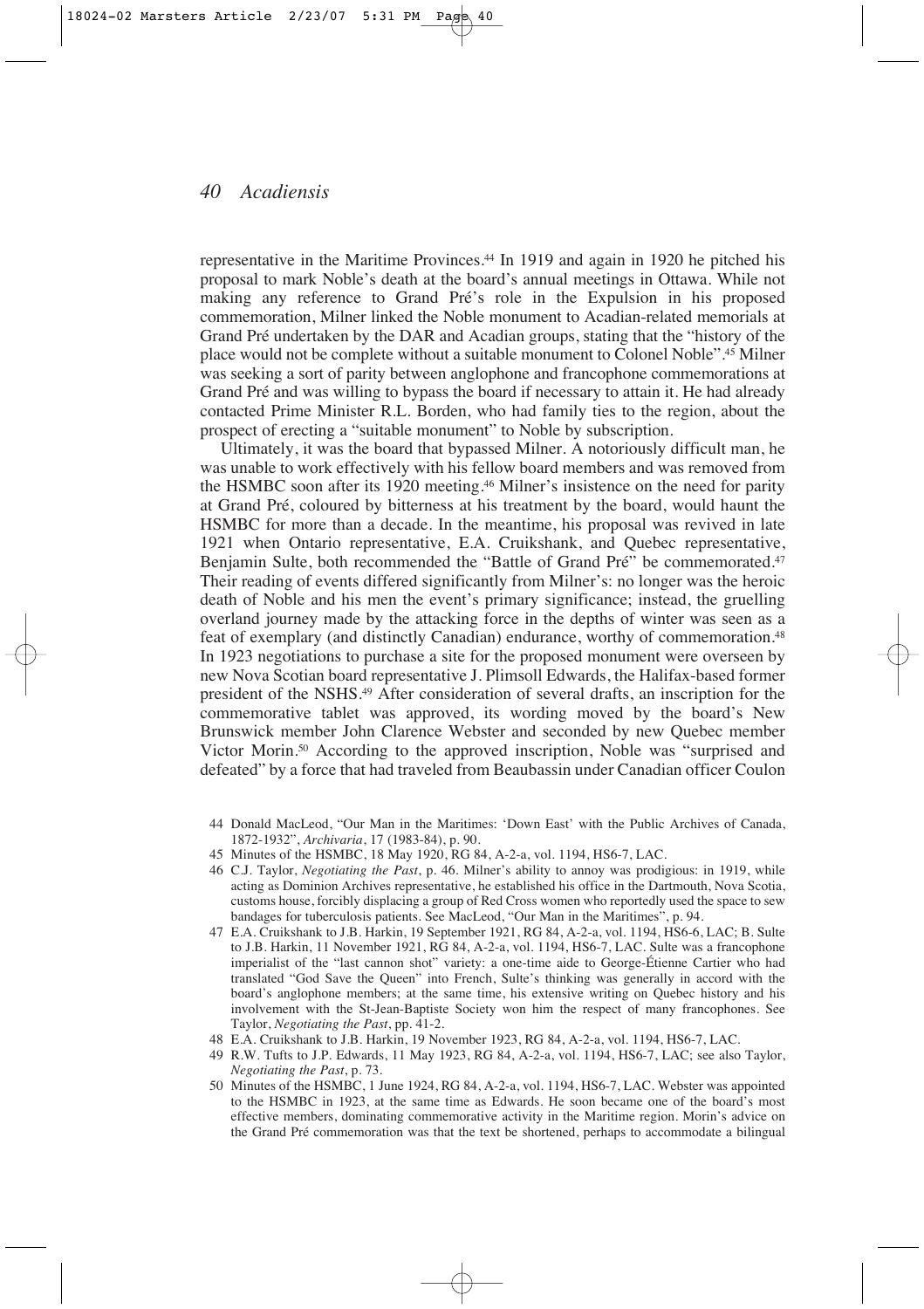representative in the Maritime Provinces.44 In 1919 and again in 1920 he pitched his proposal to mark Noble's death at the board's annual meetings in Ottawa. While not making any reference to Grand Pré's role in the Expulsion in his proposed commemoration, Milner linked the Noble monument to Acadian-related memorials at Grand Pré undertaken by the DAR and Acadian groups, stating that the "history of the place would not be complete without a suitable monument to Colonel Noble".45 Milner was seeking a sort of parity between anglophone and francophone commemorations at Grand Pré and was willing to bypass the board if necessary to attain it. He had already contacted Prime Minister R.L. Borden, who had family ties to the region, about the prospect of erecting a "suitable monument" to Noble by subscription.

Ultimately, it was the board that bypassed Milner. A notoriously difficult man, he was unable to work effectively with his fellow board members and was removed from the HSMBC soon after its 1920 meeting.46 Milner's insistence on the need for parity at Grand Pré, coloured by bitterness at his treatment by the board, would haunt the HSMBC for more than a decade. In the meantime, his proposal was revived in late 1921 when Ontario representative, E.A. Cruikshank, and Quebec representative, Benjamin Sulte, both recommended the "Battle of Grand Pré" be commemorated.<sup>47</sup> Their reading of events differed significantly from Milner's: no longer was the heroic death of Noble and his men the event's primary significance; instead, the gruelling overland journey made by the attacking force in the depths of winter was seen as a feat of exemplary (and distinctly Canadian) endurance, worthy of commemoration.48 In 1923 negotiations to purchase a site for the proposed monument were overseen by new Nova Scotian board representative J. Plimsoll Edwards, the Halifax-based former president of the NSHS.49 After consideration of several drafts, an inscription for the commemorative tablet was approved, its wording moved by the board's New Brunswick member John Clarence Webster and seconded by new Quebec member Victor Morin.50 According to the approved inscription, Noble was "surprised and defeated" by a force that had traveled from Beaubassin under Canadian officer Coulon

- 44 Donald MacLeod, "Our Man in the Maritimes: 'Down East' with the Public Archives of Canada, 1872-1932", *Archivaria*, 17 (1983-84), p. 90.
- 45 Minutes of the HSMBC, 18 May 1920, RG 84, A-2-a, vol. 1194, HS6-7, LAC.
- 46 C.J. Taylor, *Negotiating the Past*, p. 46. Milner's ability to annoy was prodigious: in 1919, while acting as Dominion Archives representative, he established his office in the Dartmouth, Nova Scotia, customs house, forcibly displacing a group of Red Cross women who reportedly used the space to sew bandages for tuberculosis patients. See MacLeod, "Our Man in the Maritimes", p. 94.
- 47 E.A. Cruikshank to J.B. Harkin, 19 September 1921, RG 84, A-2-a, vol. 1194, HS6-6, LAC; B. Sulte to J.B. Harkin, 11 November 1921, RG 84, A-2-a, vol. 1194, HS6-7, LAC. Sulte was a francophone imperialist of the "last cannon shot" variety: a one-time aide to George-Étienne Cartier who had translated "God Save the Queen" into French, Sulte's thinking was generally in accord with the board's anglophone members; at the same time, his extensive writing on Quebec history and his involvement with the St-Jean-Baptiste Society won him the respect of many francophones. See Taylor, *Negotiating the Past*, pp. 41-2.
- 48 E.A. Cruikshank to J.B. Harkin, 19 November 1923, RG 84, A-2-a, vol. 1194, HS6-7, LAC.
- 49 R.W. Tufts to J.P. Edwards, 11 May 1923, RG 84, A-2-a, vol. 1194, HS6-7, LAC; see also Taylor, *Negotiating the Past*, p. 73.
- 50 Minutes of the HSMBC, 1 June 1924, RG 84, A-2-a, vol. 1194, HS6-7, LAC. Webster was appointed to the HSMBC in 1923, at the same time as Edwards. He soon became one of the board's most effective members, dominating commemorative activity in the Maritime region. Morin's advice on the Grand Pré commemoration was that the text be shortened, perhaps to accommodate a bilingual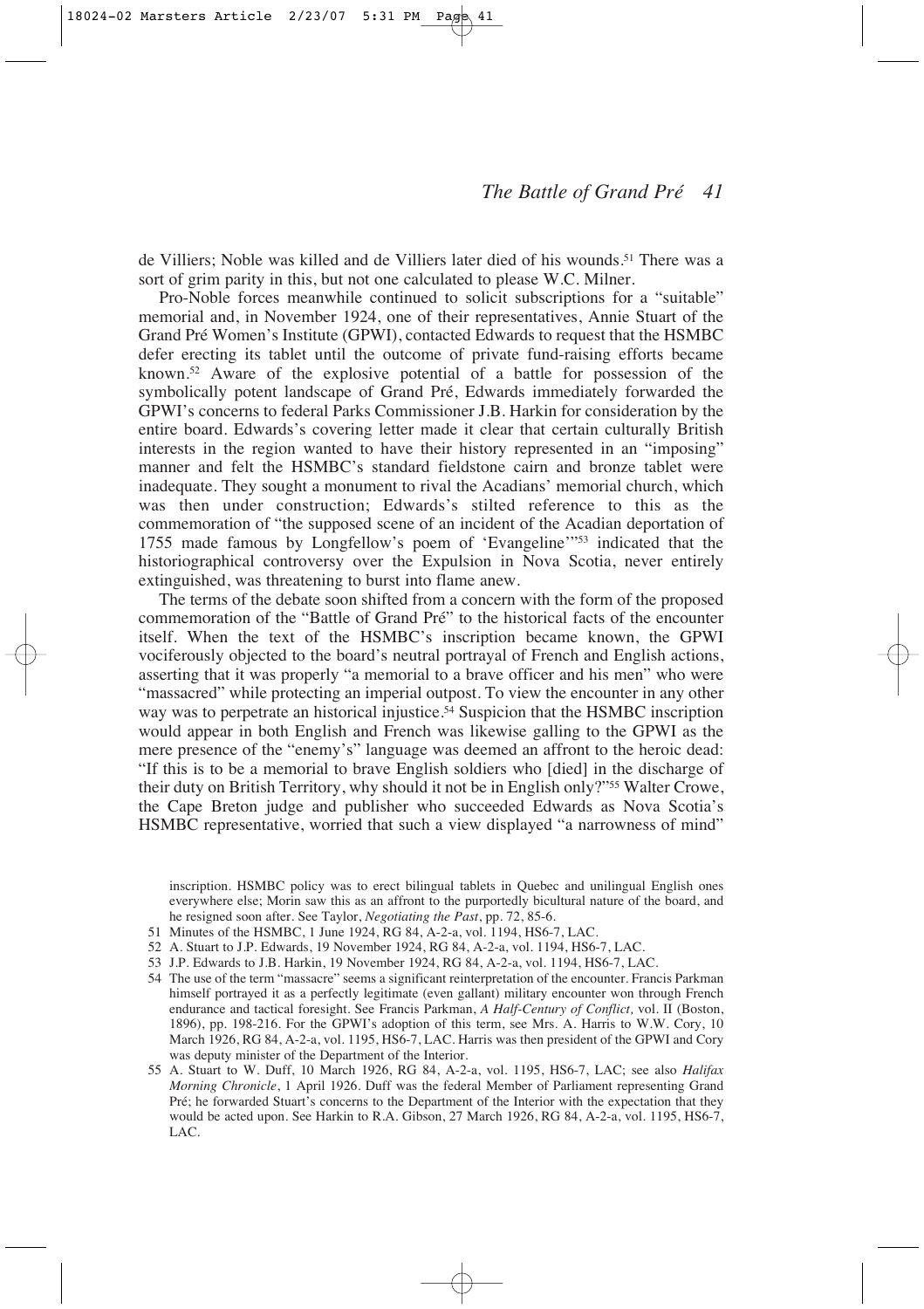de Villiers; Noble was killed and de Villiers later died of his wounds.51 There was a sort of grim parity in this, but not one calculated to please W.C. Milner.

Pro-Noble forces meanwhile continued to solicit subscriptions for a "suitable" memorial and, in November 1924, one of their representatives, Annie Stuart of the Grand Pré Women's Institute (GPWI), contacted Edwards to request that the HSMBC defer erecting its tablet until the outcome of private fund-raising efforts became known.52 Aware of the explosive potential of a battle for possession of the symbolically potent landscape of Grand Pré, Edwards immediately forwarded the GPWI's concerns to federal Parks Commissioner J.B. Harkin for consideration by the entire board. Edwards's covering letter made it clear that certain culturally British interests in the region wanted to have their history represented in an "imposing" manner and felt the HSMBC's standard fieldstone cairn and bronze tablet were inadequate. They sought a monument to rival the Acadians' memorial church, which was then under construction; Edwards's stilted reference to this as the commemoration of "the supposed scene of an incident of the Acadian deportation of 1755 made famous by Longfellow's poem of 'Evangeline'"53 indicated that the historiographical controversy over the Expulsion in Nova Scotia, never entirely extinguished, was threatening to burst into flame anew.

The terms of the debate soon shifted from a concern with the form of the proposed commemoration of the "Battle of Grand Pré" to the historical facts of the encounter itself. When the text of the HSMBC's inscription became known, the GPWI vociferously objected to the board's neutral portrayal of French and English actions, asserting that it was properly "a memorial to a brave officer and his men" who were "massacred" while protecting an imperial outpost. To view the encounter in any other way was to perpetrate an historical injustice.54 Suspicion that the HSMBC inscription would appear in both English and French was likewise galling to the GPWI as the mere presence of the "enemy's" language was deemed an affront to the heroic dead: "If this is to be a memorial to brave English soldiers who [died] in the discharge of their duty on British Territory, why should it not be in English only?"55 Walter Crowe, the Cape Breton judge and publisher who succeeded Edwards as Nova Scotia's HSMBC representative, worried that such a view displayed "a narrowness of mind"

inscription. HSMBC policy was to erect bilingual tablets in Quebec and unilingual English ones everywhere else; Morin saw this as an affront to the purportedly bicultural nature of the board, and he resigned soon after. See Taylor, *Negotiating the Past*, pp. 72, 85-6.

- 51 Minutes of the HSMBC, 1 June 1924, RG 84, A-2-a, vol. 1194, HS6-7, LAC.
- 52 A. Stuart to J.P. Edwards, 19 November 1924, RG 84, A-2-a, vol. 1194, HS6-7, LAC.
- 53 J.P. Edwards to J.B. Harkin, 19 November 1924, RG 84, A-2-a, vol. 1194, HS6-7, LAC.
- 54 The use of the term "massacre" seems a significant reinterpretation of the encounter. Francis Parkman himself portrayed it as a perfectly legitimate (even gallant) military encounter won through French endurance and tactical foresight. See Francis Parkman, *A Half-Century of Conflict,* vol. II (Boston, 1896), pp. 198-216. For the GPWI's adoption of this term, see Mrs. A. Harris to W.W. Cory, 10 March 1926, RG 84, A-2-a, vol. 1195, HS6-7, LAC. Harris was then president of the GPWI and Cory was deputy minister of the Department of the Interior.
- 55 A. Stuart to W. Duff, 10 March 1926, RG 84, A-2-a, vol. 1195, HS6-7, LAC; see also *Halifax Morning Chronicle*, 1 April 1926. Duff was the federal Member of Parliament representing Grand Pré; he forwarded Stuart's concerns to the Department of the Interior with the expectation that they would be acted upon. See Harkin to R.A. Gibson, 27 March 1926, RG 84, A-2-a, vol. 1195, HS6-7, LAC.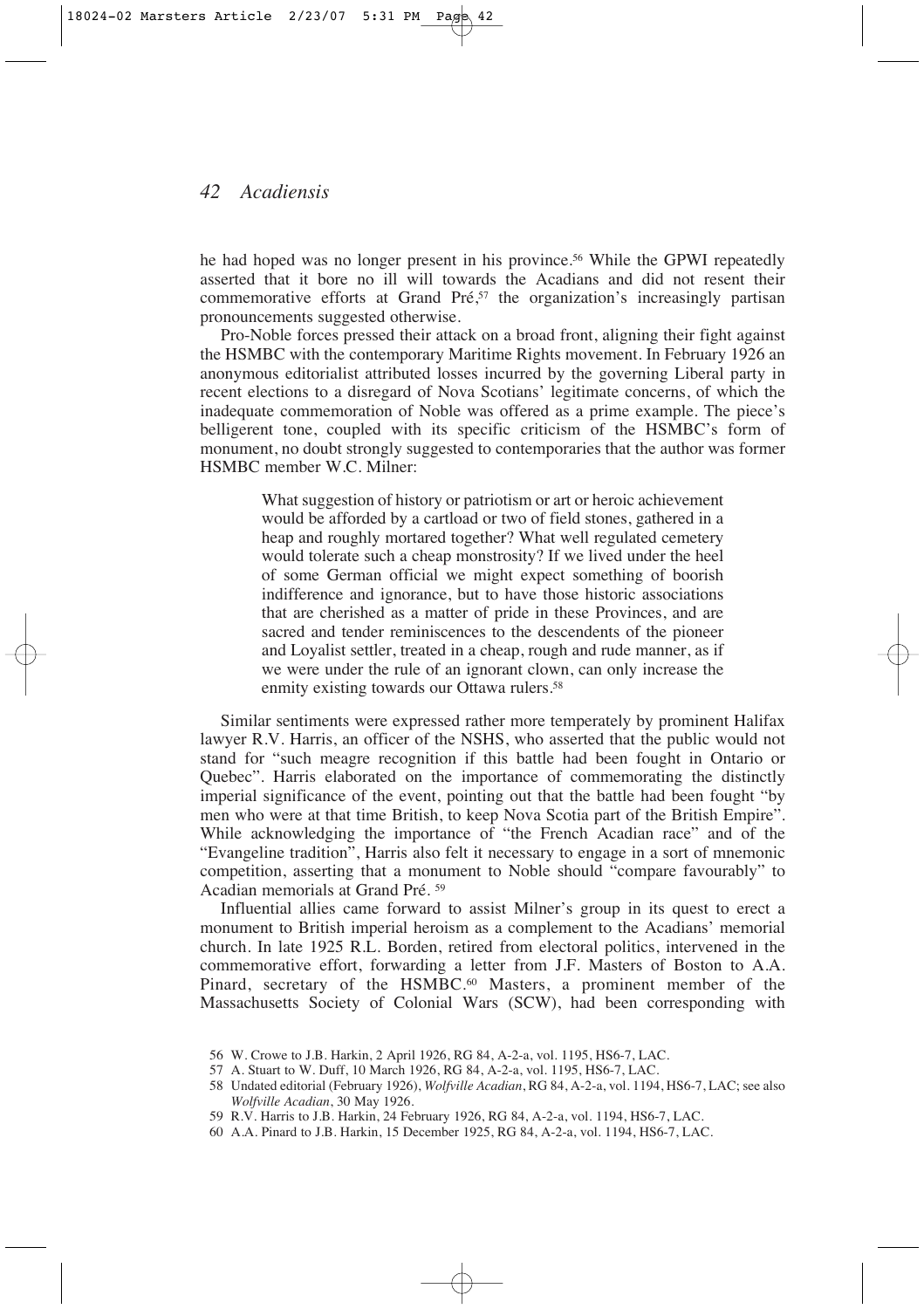he had hoped was no longer present in his province.56 While the GPWI repeatedly asserted that it bore no ill will towards the Acadians and did not resent their commemorative efforts at Grand Pré,<sup>57</sup> the organization's increasingly partisan pronouncements suggested otherwise.

Pro-Noble forces pressed their attack on a broad front, aligning their fight against the HSMBC with the contemporary Maritime Rights movement. In February 1926 an anonymous editorialist attributed losses incurred by the governing Liberal party in recent elections to a disregard of Nova Scotians' legitimate concerns, of which the inadequate commemoration of Noble was offered as a prime example. The piece's belligerent tone, coupled with its specific criticism of the HSMBC's form of monument, no doubt strongly suggested to contemporaries that the author was former HSMBC member W.C. Milner:

> What suggestion of history or patriotism or art or heroic achievement would be afforded by a cartload or two of field stones, gathered in a heap and roughly mortared together? What well regulated cemetery would tolerate such a cheap monstrosity? If we lived under the heel of some German official we might expect something of boorish indifference and ignorance, but to have those historic associations that are cherished as a matter of pride in these Provinces, and are sacred and tender reminiscences to the descendents of the pioneer and Loyalist settler, treated in a cheap, rough and rude manner, as if we were under the rule of an ignorant clown, can only increase the enmity existing towards our Ottawa rulers.<sup>58</sup>

Similar sentiments were expressed rather more temperately by prominent Halifax lawyer R.V. Harris, an officer of the NSHS, who asserted that the public would not stand for "such meagre recognition if this battle had been fought in Ontario or Quebec". Harris elaborated on the importance of commemorating the distinctly imperial significance of the event, pointing out that the battle had been fought "by men who were at that time British, to keep Nova Scotia part of the British Empire". While acknowledging the importance of "the French Acadian race" and of the "Evangeline tradition", Harris also felt it necessary to engage in a sort of mnemonic competition, asserting that a monument to Noble should "compare favourably" to Acadian memorials at Grand Pré. <sup>59</sup>

Influential allies came forward to assist Milner's group in its quest to erect a monument to British imperial heroism as a complement to the Acadians' memorial church. In late 1925 R.L. Borden, retired from electoral politics, intervened in the commemorative effort, forwarding a letter from J.F. Masters of Boston to A.A. Pinard, secretary of the HSMBC.<sup>60</sup> Masters, a prominent member of the Massachusetts Society of Colonial Wars (SCW), had been corresponding with

<sup>56</sup> W. Crowe to J.B. Harkin, 2 April 1926, RG 84, A-2-a, vol. 1195, HS6-7, LAC.

<sup>57</sup> A. Stuart to W. Duff, 10 March 1926, RG 84, A-2-a, vol. 1195, HS6-7, LAC.

<sup>58</sup> Undated editorial (February 1926), *Wolfville Acadian*, RG 84, A-2-a, vol. 1194, HS6-7, LAC; see also *Wolfville Acadian*, 30 May 1926.

<sup>59</sup> R.V. Harris to J.B. Harkin, 24 February 1926, RG 84, A-2-a, vol. 1194, HS6-7, LAC.

<sup>60</sup> A.A. Pinard to J.B. Harkin, 15 December 1925, RG 84, A-2-a, vol. 1194, HS6-7, LAC.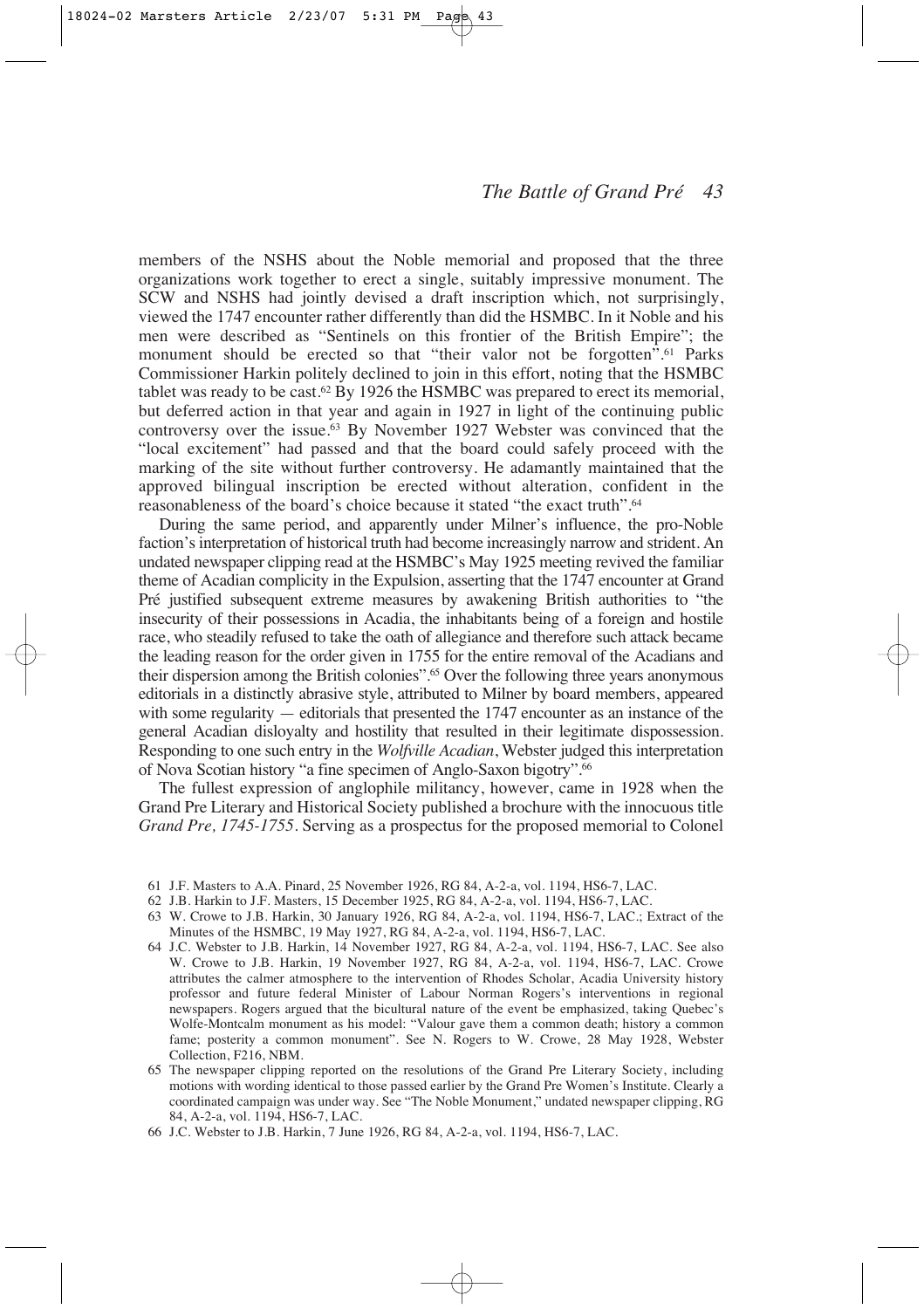members of the NSHS about the Noble memorial and proposed that the three organizations work together to erect a single, suitably impressive monument. The SCW and NSHS had jointly devised a draft inscription which, not surprisingly, viewed the 1747 encounter rather differently than did the HSMBC. In it Noble and his men were described as "Sentinels on this frontier of the British Empire"; the monument should be erected so that "their valor not be forgotten".<sup>61</sup> Parks Commissioner Harkin politely declined to join in this effort, noting that the HSMBC tablet was ready to be cast.<sup>62</sup> By 1926 the HSMBC was prepared to erect its memorial, but deferred action in that year and again in 1927 in light of the continuing public controversy over the issue.63 By November 1927 Webster was convinced that the "local excitement" had passed and that the board could safely proceed with the marking of the site without further controversy. He adamantly maintained that the approved bilingual inscription be erected without alteration, confident in the reasonableness of the board's choice because it stated "the exact truth".64

During the same period, and apparently under Milner's influence, the pro-Noble faction's interpretation of historical truth had become increasingly narrow and strident. An undated newspaper clipping read at the HSMBC's May 1925 meeting revived the familiar theme of Acadian complicity in the Expulsion, asserting that the 1747 encounter at Grand Pré justified subsequent extreme measures by awakening British authorities to "the insecurity of their possessions in Acadia, the inhabitants being of a foreign and hostile race, who steadily refused to take the oath of allegiance and therefore such attack became the leading reason for the order given in 1755 for the entire removal of the Acadians and their dispersion among the British colonies".65 Over the following three years anonymous editorials in a distinctly abrasive style, attributed to Milner by board members, appeared with some regularity — editorials that presented the 1747 encounter as an instance of the general Acadian disloyalty and hostility that resulted in their legitimate dispossession. Responding to one such entry in the *Wolfville Acadian*, Webster judged this interpretation of Nova Scotian history "a fine specimen of Anglo-Saxon bigotry".66

The fullest expression of anglophile militancy, however, came in 1928 when the Grand Pre Literary and Historical Society published a brochure with the innocuous title *Grand Pre, 1745-1755*. Serving as a prospectus for the proposed memorial to Colonel

- 61 J.F. Masters to A.A. Pinard, 25 November 1926, RG 84, A-2-a, vol. 1194, HS6-7, LAC.
- 62 J.B. Harkin to J.F. Masters, 15 December 1925, RG 84, A-2-a, vol. 1194, HS6-7, LAC.
- 63 W. Crowe to J.B. Harkin, 30 January 1926, RG 84, A-2-a, vol. 1194, HS6-7, LAC.; Extract of the Minutes of the HSMBC, 19 May 1927, RG 84, A-2-a, vol. 1194, HS6-7, LAC.
- 64 J.C. Webster to J.B. Harkin, 14 November 1927, RG 84, A-2-a, vol. 1194, HS6-7, LAC. See also W. Crowe to J.B. Harkin, 19 November 1927, RG 84, A-2-a, vol. 1194, HS6-7, LAC. Crowe attributes the calmer atmosphere to the intervention of Rhodes Scholar, Acadia University history professor and future federal Minister of Labour Norman Rogers's interventions in regional newspapers. Rogers argued that the bicultural nature of the event be emphasized, taking Quebec's Wolfe-Montcalm monument as his model: "Valour gave them a common death; history a common fame; posterity a common monument". See N. Rogers to W. Crowe, 28 May 1928, Webster Collection, F216, NBM.
- 65 The newspaper clipping reported on the resolutions of the Grand Pre Literary Society, including motions with wording identical to those passed earlier by the Grand Pre Women's Institute. Clearly a coordinated campaign was under way. See "The Noble Monument," undated newspaper clipping, RG 84, A-2-a, vol. 1194, HS6-7, LAC.
- 66 J.C. Webster to J.B. Harkin, 7 June 1926, RG 84, A-2-a, vol. 1194, HS6-7, LAC.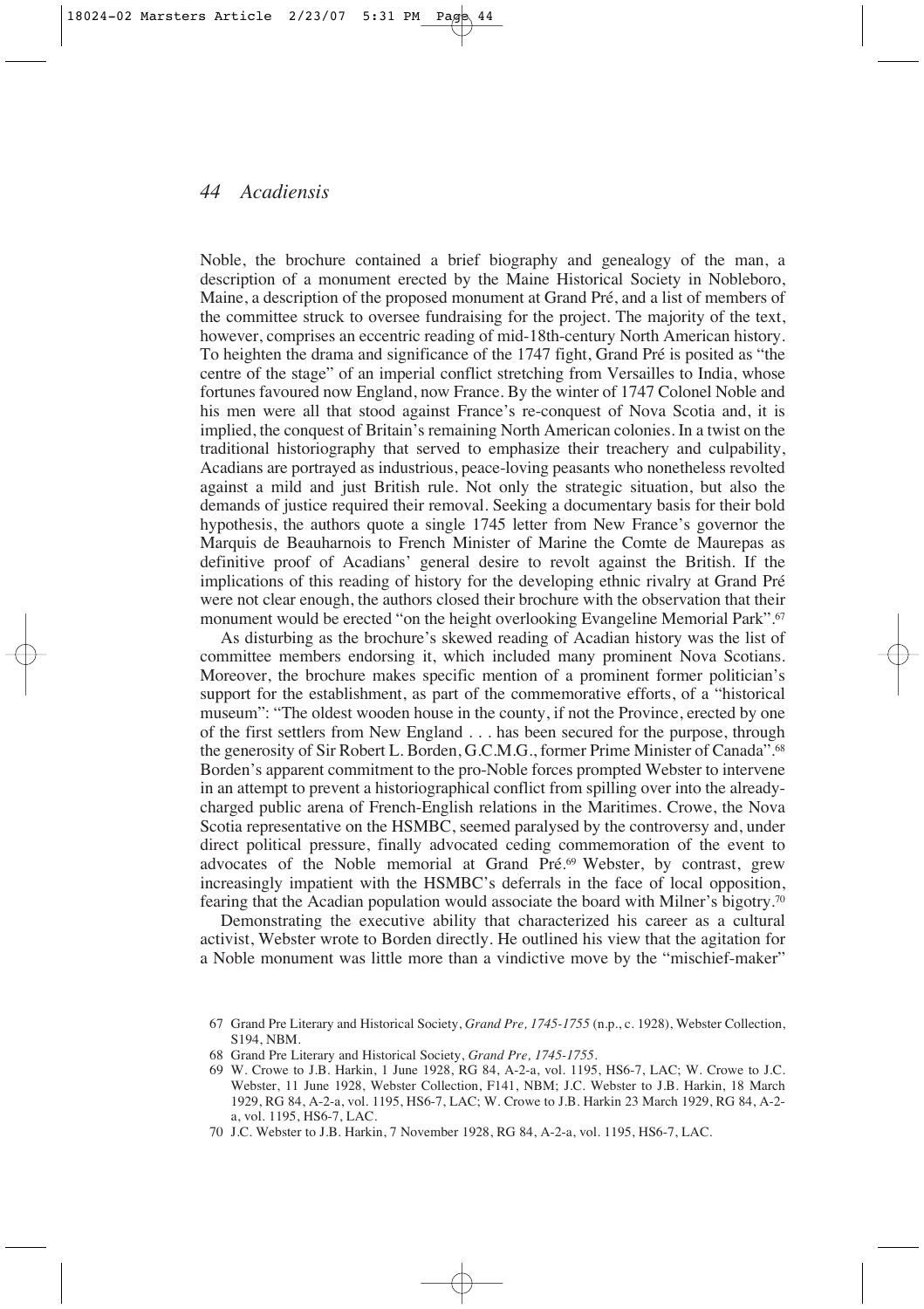Noble, the brochure contained a brief biography and genealogy of the man, a description of a monument erected by the Maine Historical Society in Nobleboro, Maine, a description of the proposed monument at Grand Pré, and a list of members of the committee struck to oversee fundraising for the project. The majority of the text, however, comprises an eccentric reading of mid-18th-century North American history. To heighten the drama and significance of the 1747 fight, Grand Pré is posited as "the centre of the stage" of an imperial conflict stretching from Versailles to India, whose fortunes favoured now England, now France. By the winter of 1747 Colonel Noble and his men were all that stood against France's re-conquest of Nova Scotia and, it is implied, the conquest of Britain's remaining North American colonies. In a twist on the traditional historiography that served to emphasize their treachery and culpability, Acadians are portrayed as industrious, peace-loving peasants who nonetheless revolted against a mild and just British rule. Not only the strategic situation, but also the demands of justice required their removal. Seeking a documentary basis for their bold hypothesis, the authors quote a single 1745 letter from New France's governor the Marquis de Beauharnois to French Minister of Marine the Comte de Maurepas as definitive proof of Acadians' general desire to revolt against the British. If the implications of this reading of history for the developing ethnic rivalry at Grand Pré were not clear enough, the authors closed their brochure with the observation that their monument would be erected "on the height overlooking Evangeline Memorial Park".<sup>67</sup>

As disturbing as the brochure's skewed reading of Acadian history was the list of committee members endorsing it, which included many prominent Nova Scotians. Moreover, the brochure makes specific mention of a prominent former politician's support for the establishment, as part of the commemorative efforts, of a "historical museum": "The oldest wooden house in the county, if not the Province, erected by one of the first settlers from New England . . . has been secured for the purpose, through the generosity of Sir Robert L. Borden, G.C.M.G., former Prime Minister of Canada".68 Borden's apparent commitment to the pro-Noble forces prompted Webster to intervene in an attempt to prevent a historiographical conflict from spilling over into the alreadycharged public arena of French-English relations in the Maritimes. Crowe, the Nova Scotia representative on the HSMBC, seemed paralysed by the controversy and, under direct political pressure, finally advocated ceding commemoration of the event to advocates of the Noble memorial at Grand Pré.69 Webster, by contrast, grew increasingly impatient with the HSMBC's deferrals in the face of local opposition, fearing that the Acadian population would associate the board with Milner's bigotry.70

Demonstrating the executive ability that characterized his career as a cultural activist, Webster wrote to Borden directly. He outlined his view that the agitation for a Noble monument was little more than a vindictive move by the "mischief-maker"

<sup>67</sup> Grand Pre Literary and Historical Society, *Grand Pre, 1745-1755* (n.p., c. 1928), Webster Collection, S194, NBM.

<sup>68</sup> Grand Pre Literary and Historical Society, *Grand Pre, 1745-1755*.

<sup>69</sup> W. Crowe to J.B. Harkin, 1 June 1928, RG 84, A-2-a, vol. 1195, HS6-7, LAC; W. Crowe to J.C. Webster, 11 June 1928, Webster Collection, F141, NBM; J.C. Webster to J.B. Harkin, 18 March 1929, RG 84, A-2-a, vol. 1195, HS6-7, LAC; W. Crowe to J.B. Harkin 23 March 1929, RG 84, A-2 a, vol. 1195, HS6-7, LAC.

<sup>70</sup> J.C. Webster to J.B. Harkin, 7 November 1928, RG 84, A-2-a, vol. 1195, HS6-7, LAC.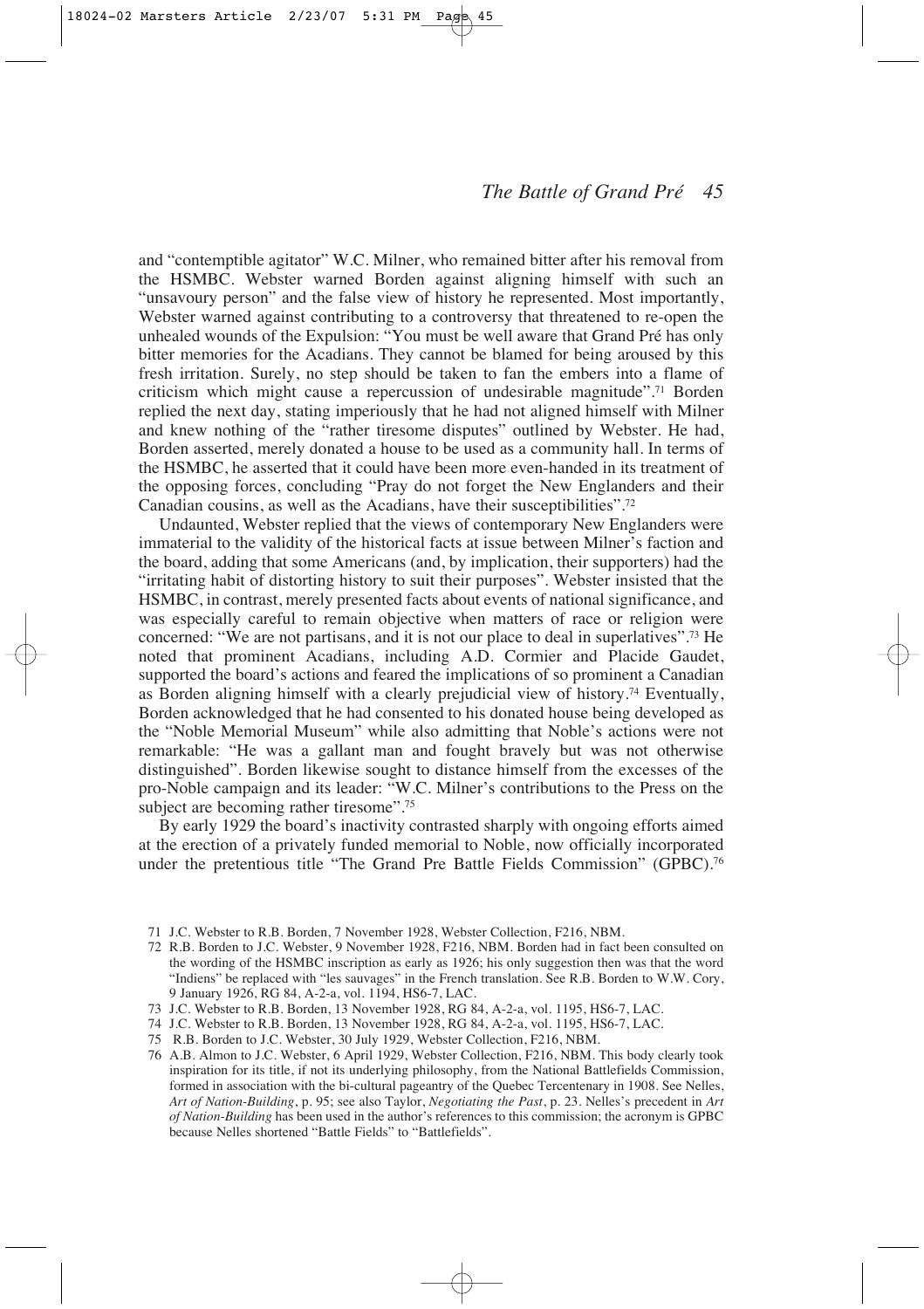and "contemptible agitator" W.C. Milner, who remained bitter after his removal from the HSMBC. Webster warned Borden against aligning himself with such an "unsavoury person" and the false view of history he represented. Most importantly, Webster warned against contributing to a controversy that threatened to re-open the unhealed wounds of the Expulsion: "You must be well aware that Grand Pré has only bitter memories for the Acadians. They cannot be blamed for being aroused by this fresh irritation. Surely, no step should be taken to fan the embers into a flame of criticism which might cause a repercussion of undesirable magnitude".71 Borden replied the next day, stating imperiously that he had not aligned himself with Milner and knew nothing of the "rather tiresome disputes" outlined by Webster. He had, Borden asserted, merely donated a house to be used as a community hall. In terms of the HSMBC, he asserted that it could have been more even-handed in its treatment of the opposing forces, concluding "Pray do not forget the New Englanders and their Canadian cousins, as well as the Acadians, have their susceptibilities".72

Undaunted, Webster replied that the views of contemporary New Englanders were immaterial to the validity of the historical facts at issue between Milner's faction and the board, adding that some Americans (and, by implication, their supporters) had the "irritating habit of distorting history to suit their purposes". Webster insisted that the HSMBC, in contrast, merely presented facts about events of national significance, and was especially careful to remain objective when matters of race or religion were concerned: "We are not partisans, and it is not our place to deal in superlatives".73 He noted that prominent Acadians, including A.D. Cormier and Placide Gaudet, supported the board's actions and feared the implications of so prominent a Canadian as Borden aligning himself with a clearly prejudicial view of history.74 Eventually, Borden acknowledged that he had consented to his donated house being developed as the "Noble Memorial Museum" while also admitting that Noble's actions were not remarkable: "He was a gallant man and fought bravely but was not otherwise distinguished". Borden likewise sought to distance himself from the excesses of the pro-Noble campaign and its leader: "W.C. Milner's contributions to the Press on the subject are becoming rather tiresome".<sup>75</sup>

By early 1929 the board's inactivity contrasted sharply with ongoing efforts aimed at the erection of a privately funded memorial to Noble, now officially incorporated under the pretentious title "The Grand Pre Battle Fields Commission" (GPBC).76

- 71 J.C. Webster to R.B. Borden, 7 November 1928, Webster Collection, F216, NBM.
- 72 R.B. Borden to J.C. Webster, 9 November 1928, F216, NBM. Borden had in fact been consulted on the wording of the HSMBC inscription as early as 1926; his only suggestion then was that the word "Indiens" be replaced with "les sauvages" in the French translation. See R.B. Borden to W.W. Cory, 9 January 1926, RG 84, A-2-a, vol. 1194, HS6-7, LAC.
- 73 J.C. Webster to R.B. Borden, 13 November 1928, RG 84, A-2-a, vol. 1195, HS6-7, LAC.
- 74 J.C. Webster to R.B. Borden, 13 November 1928, RG 84, A-2-a, vol. 1195, HS6-7, LAC.
- 75 R.B. Borden to J.C. Webster, 30 July 1929, Webster Collection, F216, NBM.
- 76 A.B. Almon to J.C. Webster, 6 April 1929, Webster Collection, F216, NBM. This body clearly took inspiration for its title, if not its underlying philosophy, from the National Battlefields Commission, formed in association with the bi-cultural pageantry of the Quebec Tercentenary in 1908. See Nelles, *Art of Nation-Building*, p. 95; see also Taylor, *Negotiating the Past*, p. 23. Nelles's precedent in *Art of Nation-Building* has been used in the author's references to this commission; the acronym is GPBC because Nelles shortened "Battle Fields" to "Battlefields".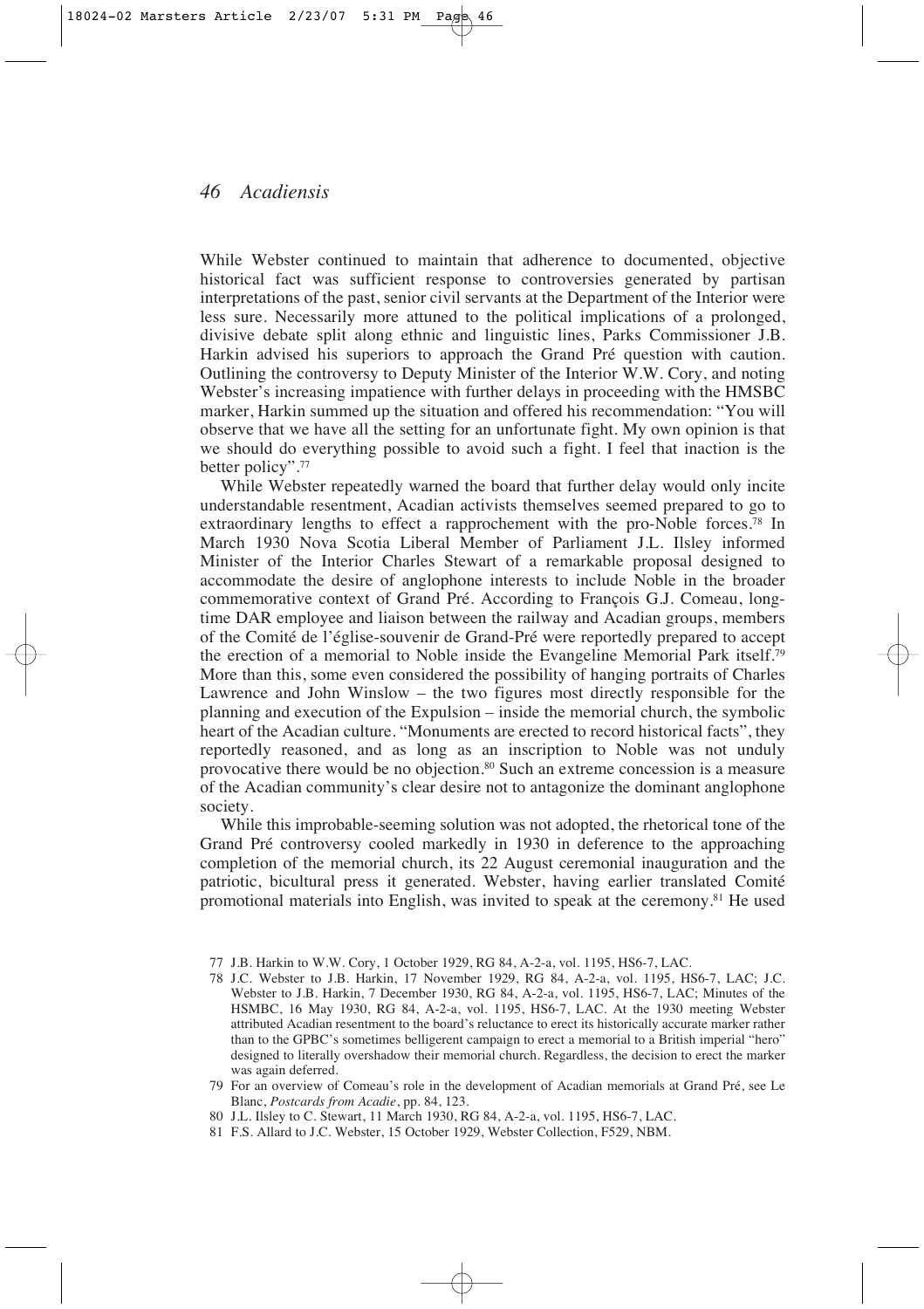While Webster continued to maintain that adherence to documented, objective historical fact was sufficient response to controversies generated by partisan interpretations of the past, senior civil servants at the Department of the Interior were less sure. Necessarily more attuned to the political implications of a prolonged, divisive debate split along ethnic and linguistic lines, Parks Commissioner J.B. Harkin advised his superiors to approach the Grand Pré question with caution. Outlining the controversy to Deputy Minister of the Interior W.W. Cory, and noting Webster's increasing impatience with further delays in proceeding with the HMSBC marker, Harkin summed up the situation and offered his recommendation: "You will observe that we have all the setting for an unfortunate fight. My own opinion is that we should do everything possible to avoid such a fight. I feel that inaction is the better policy".77

While Webster repeatedly warned the board that further delay would only incite understandable resentment, Acadian activists themselves seemed prepared to go to extraordinary lengths to effect a rapprochement with the pro-Noble forces.78 In March 1930 Nova Scotia Liberal Member of Parliament J.L. Ilsley informed Minister of the Interior Charles Stewart of a remarkable proposal designed to accommodate the desire of anglophone interests to include Noble in the broader commemorative context of Grand Pré. According to François G.J. Comeau, longtime DAR employee and liaison between the railway and Acadian groups, members of the Comité de l'église-souvenir de Grand-Pré were reportedly prepared to accept the erection of a memorial to Noble inside the Evangeline Memorial Park itself.79 More than this, some even considered the possibility of hanging portraits of Charles Lawrence and John Winslow – the two figures most directly responsible for the planning and execution of the Expulsion – inside the memorial church, the symbolic heart of the Acadian culture. "Monuments are erected to record historical facts", they reportedly reasoned, and as long as an inscription to Noble was not unduly provocative there would be no objection.80 Such an extreme concession is a measure of the Acadian community's clear desire not to antagonize the dominant anglophone society.

While this improbable-seeming solution was not adopted, the rhetorical tone of the Grand Pré controversy cooled markedly in 1930 in deference to the approaching completion of the memorial church, its 22 August ceremonial inauguration and the patriotic, bicultural press it generated. Webster, having earlier translated Comité promotional materials into English, was invited to speak at the ceremony.81 He used

<sup>77</sup> J.B. Harkin to W.W. Cory, 1 October 1929, RG 84, A-2-a, vol. 1195, HS6-7, LAC.

<sup>78</sup> J.C. Webster to J.B. Harkin, 17 November 1929, RG 84, A-2-a, vol. 1195, HS6-7, LAC; J.C. Webster to J.B. Harkin, 7 December 1930, RG 84, A-2-a, vol. 1195, HS6-7, LAC; Minutes of the HSMBC, 16 May 1930, RG 84, A-2-a, vol. 1195, HS6-7, LAC. At the 1930 meeting Webster attributed Acadian resentment to the board's reluctance to erect its historically accurate marker rather than to the GPBC's sometimes belligerent campaign to erect a memorial to a British imperial "hero" designed to literally overshadow their memorial church. Regardless, the decision to erect the marker was again deferred.

<sup>79</sup> For an overview of Comeau's role in the development of Acadian memorials at Grand Pré, see Le Blanc, *Postcards from Acadie*, pp. 84, 123.

<sup>80</sup> J.L. Ilsley to C. Stewart, 11 March 1930, RG 84, A-2-a, vol. 1195, HS6-7, LAC.

<sup>81</sup> F.S. Allard to J.C. Webster, 15 October 1929, Webster Collection, F529, NBM.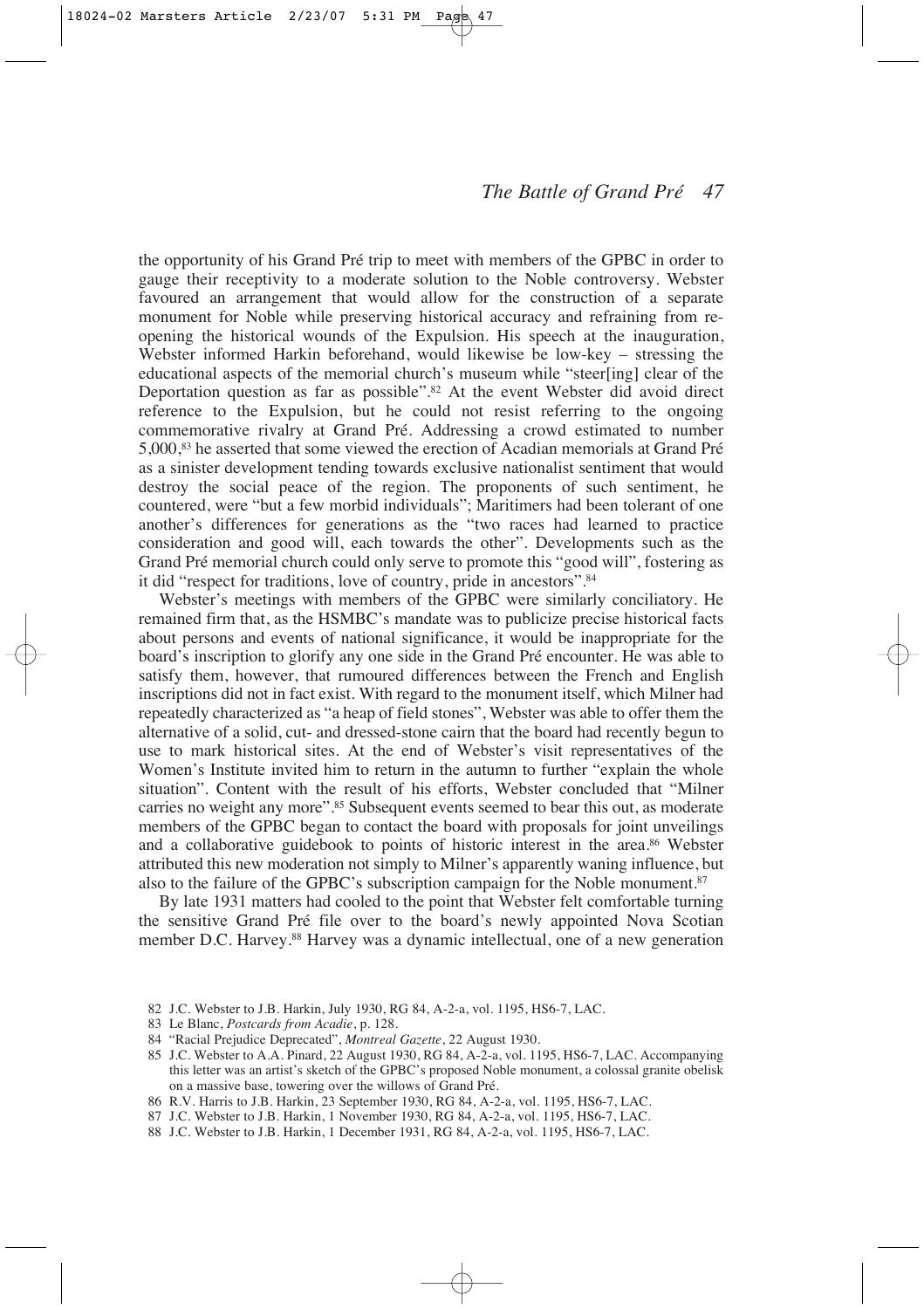the opportunity of his Grand Pré trip to meet with members of the GPBC in order to gauge their receptivity to a moderate solution to the Noble controversy. Webster favoured an arrangement that would allow for the construction of a separate monument for Noble while preserving historical accuracy and refraining from reopening the historical wounds of the Expulsion. His speech at the inauguration, Webster informed Harkin beforehand, would likewise be low-key – stressing the educational aspects of the memorial church's museum while "steer[ing] clear of the Deportation question as far as possible".82 At the event Webster did avoid direct reference to the Expulsion, but he could not resist referring to the ongoing commemorative rivalry at Grand Pré. Addressing a crowd estimated to number 5,000,83 he asserted that some viewed the erection of Acadian memorials at Grand Pré as a sinister development tending towards exclusive nationalist sentiment that would destroy the social peace of the region. The proponents of such sentiment, he countered, were "but a few morbid individuals"; Maritimers had been tolerant of one another's differences for generations as the "two races had learned to practice consideration and good will, each towards the other". Developments such as the Grand Pré memorial church could only serve to promote this "good will", fostering as it did "respect for traditions, love of country, pride in ancestors".84

Webster's meetings with members of the GPBC were similarly conciliatory. He remained firm that, as the HSMBC's mandate was to publicize precise historical facts about persons and events of national significance, it would be inappropriate for the board's inscription to glorify any one side in the Grand Pré encounter. He was able to satisfy them, however, that rumoured differences between the French and English inscriptions did not in fact exist. With regard to the monument itself, which Milner had repeatedly characterized as "a heap of field stones", Webster was able to offer them the alternative of a solid, cut- and dressed-stone cairn that the board had recently begun to use to mark historical sites. At the end of Webster's visit representatives of the Women's Institute invited him to return in the autumn to further "explain the whole situation". Content with the result of his efforts, Webster concluded that "Milner carries no weight any more".85 Subsequent events seemed to bear this out, as moderate members of the GPBC began to contact the board with proposals for joint unveilings and a collaborative guidebook to points of historic interest in the area.86 Webster attributed this new moderation not simply to Milner's apparently waning influence, but also to the failure of the GPBC's subscription campaign for the Noble monument.<sup>87</sup>

By late 1931 matters had cooled to the point that Webster felt comfortable turning the sensitive Grand Pré file over to the board's newly appointed Nova Scotian member D.C. Harvey.88 Harvey was a dynamic intellectual, one of a new generation

- 82 J.C. Webster to J.B. Harkin, July 1930, RG 84, A-2-a, vol. 1195, HS6-7, LAC.
- 83 Le Blanc, *Postcards from Acadie*, p. 128.
- 84 "Racial Prejudice Deprecated", *Montreal Gazette*, 22 August 1930.
- 85 J.C. Webster to A.A. Pinard, 22 August 1930, RG 84, A-2-a, vol. 1195, HS6-7, LAC. Accompanying this letter was an artist's sketch of the GPBC's proposed Noble monument, a colossal granite obelisk on a massive base, towering over the willows of Grand Pré.
- 86 R.V. Harris to J.B. Harkin, 23 September 1930, RG 84, A-2-a, vol. 1195, HS6-7, LAC.
- 87 J.C. Webster to J.B. Harkin, 1 November 1930, RG 84, A-2-a, vol. 1195, HS6-7, LAC.
- 88 J.C. Webster to J.B. Harkin, 1 December 1931, RG 84, A-2-a, vol. 1195, HS6-7, LAC.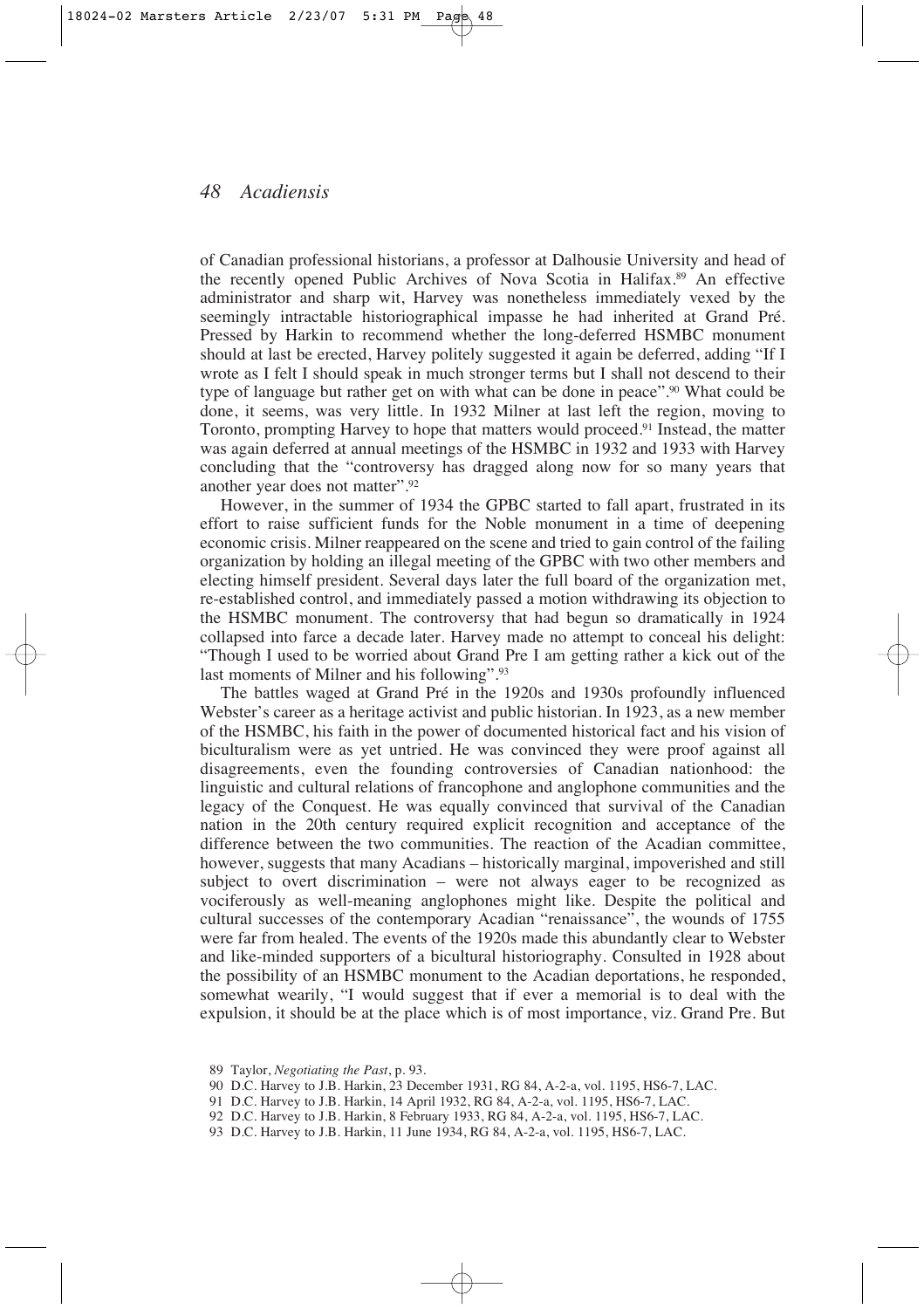of Canadian professional historians, a professor at Dalhousie University and head of the recently opened Public Archives of Nova Scotia in Halifax.89 An effective administrator and sharp wit, Harvey was nonetheless immediately vexed by the seemingly intractable historiographical impasse he had inherited at Grand Pré. Pressed by Harkin to recommend whether the long-deferred HSMBC monument should at last be erected, Harvey politely suggested it again be deferred, adding "If I wrote as I felt I should speak in much stronger terms but I shall not descend to their type of language but rather get on with what can be done in peace".<sup>90</sup> What could be done, it seems, was very little. In 1932 Milner at last left the region, moving to Toronto, prompting Harvey to hope that matters would proceed.91 Instead, the matter was again deferred at annual meetings of the HSMBC in 1932 and 1933 with Harvey concluding that the "controversy has dragged along now for so many years that another year does not matter".92

However, in the summer of 1934 the GPBC started to fall apart, frustrated in its effort to raise sufficient funds for the Noble monument in a time of deepening economic crisis. Milner reappeared on the scene and tried to gain control of the failing organization by holding an illegal meeting of the GPBC with two other members and electing himself president. Several days later the full board of the organization met, re-established control, and immediately passed a motion withdrawing its objection to the HSMBC monument. The controversy that had begun so dramatically in 1924 collapsed into farce a decade later. Harvey made no attempt to conceal his delight: "Though I used to be worried about Grand Pre I am getting rather a kick out of the last moments of Milner and his following".93

The battles waged at Grand Pré in the 1920s and 1930s profoundly influenced Webster's career as a heritage activist and public historian. In 1923, as a new member of the HSMBC, his faith in the power of documented historical fact and his vision of biculturalism were as yet untried. He was convinced they were proof against all disagreements, even the founding controversies of Canadian nationhood: the linguistic and cultural relations of francophone and anglophone communities and the legacy of the Conquest. He was equally convinced that survival of the Canadian nation in the 20th century required explicit recognition and acceptance of the difference between the two communities. The reaction of the Acadian committee, however, suggests that many Acadians – historically marginal, impoverished and still subject to overt discrimination – were not always eager to be recognized as vociferously as well-meaning anglophones might like. Despite the political and cultural successes of the contemporary Acadian "renaissance", the wounds of 1755 were far from healed. The events of the 1920s made this abundantly clear to Webster and like-minded supporters of a bicultural historiography. Consulted in 1928 about the possibility of an HSMBC monument to the Acadian deportations, he responded, somewhat wearily, "I would suggest that if ever a memorial is to deal with the expulsion, it should be at the place which is of most importance, viz. Grand Pre. But

- 90 D.C. Harvey to J.B. Harkin, 23 December 1931, RG 84, A-2-a, vol. 1195, HS6-7, LAC.
- 91 D.C. Harvey to J.B. Harkin, 14 April 1932, RG 84, A-2-a, vol. 1195, HS6-7, LAC.
- 92 D.C. Harvey to J.B. Harkin, 8 February 1933, RG 84, A-2-a, vol. 1195, HS6-7, LAC.
- 93 D.C. Harvey to J.B. Harkin, 11 June 1934, RG 84, A-2-a, vol. 1195, HS6-7, LAC.

<sup>89</sup> Taylor, *Negotiating the Past*, p. 93.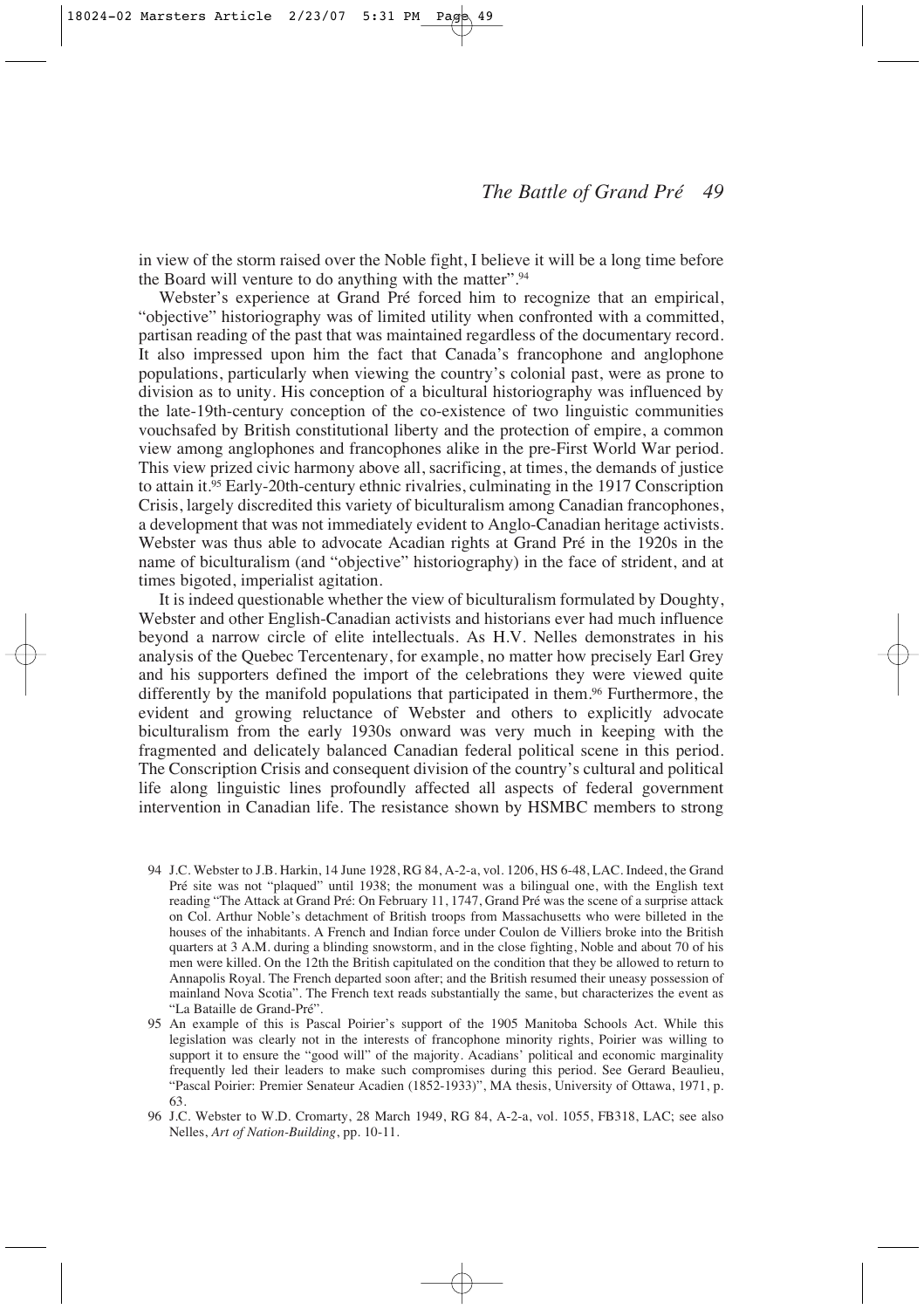in view of the storm raised over the Noble fight, I believe it will be a long time before the Board will venture to do anything with the matter".94

Webster's experience at Grand Pré forced him to recognize that an empirical, "objective" historiography was of limited utility when confronted with a committed, partisan reading of the past that was maintained regardless of the documentary record. It also impressed upon him the fact that Canada's francophone and anglophone populations, particularly when viewing the country's colonial past, were as prone to division as to unity. His conception of a bicultural historiography was influenced by the late-19th-century conception of the co-existence of two linguistic communities vouchsafed by British constitutional liberty and the protection of empire, a common view among anglophones and francophones alike in the pre-First World War period. This view prized civic harmony above all, sacrificing, at times, the demands of justice to attain it.95 Early-20th-century ethnic rivalries, culminating in the 1917 Conscription Crisis, largely discredited this variety of biculturalism among Canadian francophones, a development that was not immediately evident to Anglo-Canadian heritage activists. Webster was thus able to advocate Acadian rights at Grand Pré in the 1920s in the name of biculturalism (and "objective" historiography) in the face of strident, and at times bigoted, imperialist agitation.

It is indeed questionable whether the view of biculturalism formulated by Doughty, Webster and other English-Canadian activists and historians ever had much influence beyond a narrow circle of elite intellectuals. As H.V. Nelles demonstrates in his analysis of the Quebec Tercentenary, for example, no matter how precisely Earl Grey and his supporters defined the import of the celebrations they were viewed quite differently by the manifold populations that participated in them.96 Furthermore, the evident and growing reluctance of Webster and others to explicitly advocate biculturalism from the early 1930s onward was very much in keeping with the fragmented and delicately balanced Canadian federal political scene in this period. The Conscription Crisis and consequent division of the country's cultural and political life along linguistic lines profoundly affected all aspects of federal government intervention in Canadian life. The resistance shown by HSMBC members to strong

- 94 J.C. Webster to J.B. Harkin, 14 June 1928, RG 84, A-2-a, vol. 1206, HS 6-48, LAC. Indeed, the Grand Pré site was not "plaqued" until 1938; the monument was a bilingual one, with the English text reading "The Attack at Grand Pré: On February 11, 1747, Grand Pré was the scene of a surprise attack on Col. Arthur Noble's detachment of British troops from Massachusetts who were billeted in the houses of the inhabitants. A French and Indian force under Coulon de Villiers broke into the British quarters at 3 A.M. during a blinding snowstorm, and in the close fighting, Noble and about 70 of his men were killed. On the 12th the British capitulated on the condition that they be allowed to return to Annapolis Royal. The French departed soon after; and the British resumed their uneasy possession of mainland Nova Scotia". The French text reads substantially the same, but characterizes the event as "La Bataille de Grand-Pré".
- 95 An example of this is Pascal Poirier's support of the 1905 Manitoba Schools Act. While this legislation was clearly not in the interests of francophone minority rights, Poirier was willing to support it to ensure the "good will" of the majority. Acadians' political and economic marginality frequently led their leaders to make such compromises during this period. See Gerard Beaulieu, "Pascal Poirier: Premier Senateur Acadien (1852-1933)", MA thesis, University of Ottawa, 1971, p. 63.
- 96 J.C. Webster to W.D. Cromarty, 28 March 1949, RG 84, A-2-a, vol. 1055, FB318, LAC; see also Nelles, *Art of Nation-Building*, pp. 10-11.